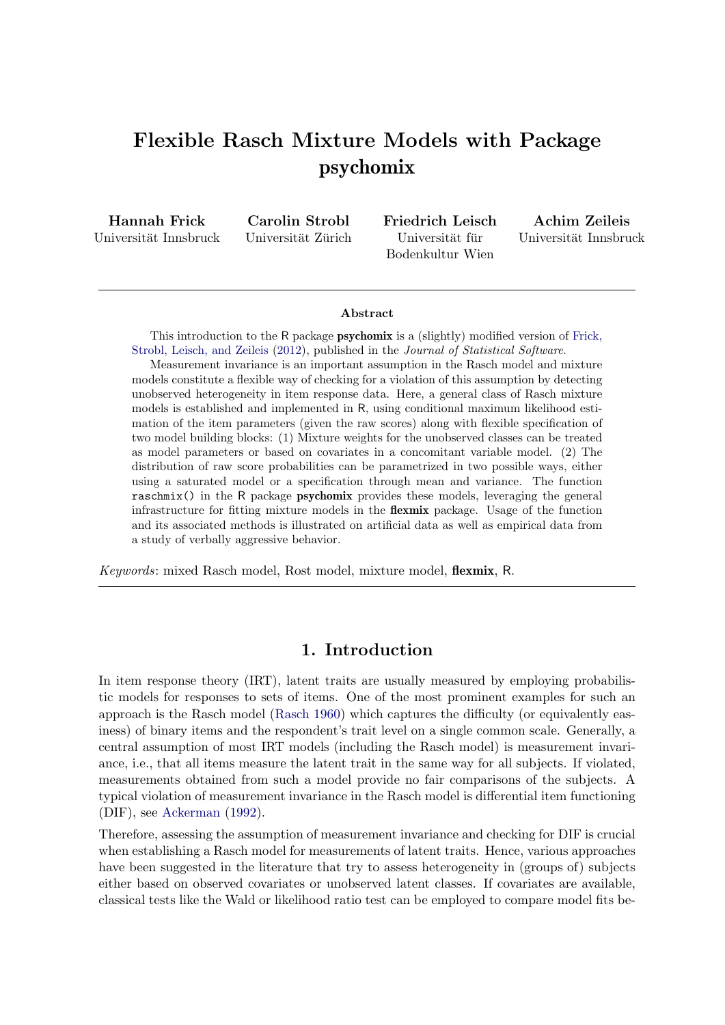# Flexible Rasch Mixture Models with Package psychomix

Hannah Frick Universität Innsbruck Carolin Strobl Universität Zürich Friedrich Leisch Universität für Bodenkultur Wien

Achim Zeileis Universität Innsbruck

#### Abstract

This introduction to the R package psychomix is a (slightly) modified version of [Frick,](#page-19-0) [Strobl, Leisch, and Zeileis](#page-19-0) [\(2012\)](#page-19-0), published in the *Journal of Statistical Software*.

Measurement invariance is an important assumption in the Rasch model and mixture models constitute a flexible way of checking for a violation of this assumption by detecting unobserved heterogeneity in item response data. Here, a general class of Rasch mixture models is established and implemented in R, using conditional maximum likelihood estimation of the item parameters (given the raw scores) along with flexible specification of two model building blocks: (1) Mixture weights for the unobserved classes can be treated as model parameters or based on covariates in a concomitant variable model. (2) The distribution of raw score probabilities can be parametrized in two possible ways, either using a saturated model or a specification through mean and variance. The function raschmix() in the R package psychomix provides these models, leveraging the general infrastructure for fitting mixture models in the flexmix package. Usage of the function and its associated methods is illustrated on artificial data as well as empirical data from a study of verbally aggressive behavior.

*Keywords*: mixed Rasch model, Rost model, mixture model, flexmix, R.

# 1. Introduction

In item response theory (IRT), latent traits are usually measured by employing probabilistic models for responses to sets of items. One of the most prominent examples for such an approach is the Rasch model [\(Rasch 1960\)](#page-20-0) which captures the difficulty (or equivalently easiness) of binary items and the respondent's trait level on a single common scale. Generally, a central assumption of most IRT models (including the Rasch model) is measurement invariance, i.e., that all items measure the latent trait in the same way for all subjects. If violated, measurements obtained from such a model provide no fair comparisons of the subjects. A typical violation of measurement invariance in the Rasch model is differential item functioning (DIF), see [Ackerman](#page-19-1) [\(1992\)](#page-19-1).

Therefore, assessing the assumption of measurement invariance and checking for DIF is crucial when establishing a Rasch model for measurements of latent traits. Hence, various approaches have been suggested in the literature that try to assess heterogeneity in (groups of) subjects either based on observed covariates or unobserved latent classes. If covariates are available, classical tests like the Wald or likelihood ratio test can be employed to compare model fits be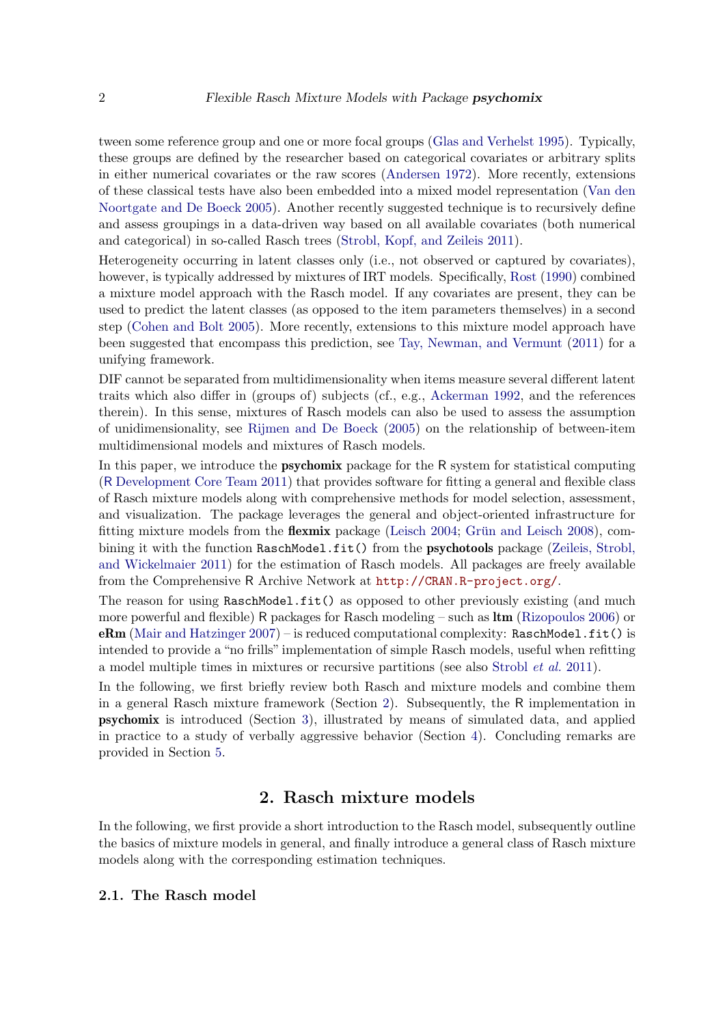tween some reference group and one or more focal groups [\(Glas and Verhelst 1995\)](#page-20-1). Typically, these groups are defined by the researcher based on categorical covariates or arbitrary splits in either numerical covariates or the raw scores [\(Andersen 1972\)](#page-19-2). More recently, extensions of these classical tests have also been embedded into a mixed model representation [\(Van den](#page-21-0) [Noortgate and De Boeck 2005\)](#page-21-0). Another recently suggested technique is to recursively define and assess groupings in a data-driven way based on all available covariates (both numerical and categorical) in so-called Rasch trees [\(Strobl, Kopf, and Zeileis 2011\)](#page-20-2).

Heterogeneity occurring in latent classes only (i.e., not observed or captured by covariates), however, is typically addressed by mixtures of IRT models. Specifically, [Rost](#page-20-3) [\(1990\)](#page-20-3) combined a mixture model approach with the Rasch model. If any covariates are present, they can be used to predict the latent classes (as opposed to the item parameters themselves) in a second step [\(Cohen and Bolt 2005\)](#page-19-3). More recently, extensions to this mixture model approach have been suggested that encompass this prediction, see [Tay, Newman, and Vermunt](#page-20-4) [\(2011\)](#page-20-4) for a unifying framework.

DIF cannot be separated from multidimensionality when items measure several different latent traits which also differ in (groups of) subjects (cf., e.g., [Ackerman 1992,](#page-19-1) and the references therein). In this sense, mixtures of Rasch models can also be used to assess the assumption of unidimensionality, see [Rijmen and De Boeck](#page-20-5) [\(2005\)](#page-20-5) on the relationship of between-item multidimensional models and mixtures of Rasch models.

In this paper, we introduce the psychomix package for the R system for statistical computing (R [Development Core Team 2011\)](#page-20-6) that provides software for fitting a general and flexible class of Rasch mixture models along with comprehensive methods for model selection, assessment, and visualization. The package leverages the general and object-oriented infrastructure for fitting mixture models from the **flexmix** package (Leisch  $2004$ ; Grün and Leisch  $2008$ ), com-bining it with the function RaschModel.fit() from the psychotools package [\(Zeileis, Strobl,](#page-21-1) [and Wickelmaier 2011\)](#page-21-1) for the estimation of Rasch models. All packages are freely available from the Comprehensive R Archive Network at <http://CRAN.R-project.org/>.

The reason for using RaschModel.fit() as opposed to other previously existing (and much more powerful and flexible) R packages for Rasch modeling – such as  $\text{ltm}$  [\(Rizopoulos 2006\)](#page-20-9) or eRm [\(Mair and Hatzinger 2007\)](#page-20-10) – is reduced computational complexity: RaschModel.fit() is intended to provide a "no frills" implementation of simple Rasch models, useful when refitting a model multiple times in mixtures or recursive partitions (see also [Strobl](#page-20-2) *et al.* [2011\)](#page-20-2).

In the following, we first briefly review both Rasch and mixture models and combine them in a general Rasch mixture framework (Section [2\)](#page-1-0). Subsequently, the R implementation in psychomix is introduced (Section [3\)](#page-6-0), illustrated by means of simulated data, and applied in practice to a study of verbally aggressive behavior (Section [4\)](#page-16-0). Concluding remarks are provided in Section [5.](#page-18-0)

# 2. Rasch mixture models

<span id="page-1-0"></span>In the following, we first provide a short introduction to the Rasch model, subsequently outline the basics of mixture models in general, and finally introduce a general class of Rasch mixture models along with the corresponding estimation techniques.

#### 2.1. The Rasch model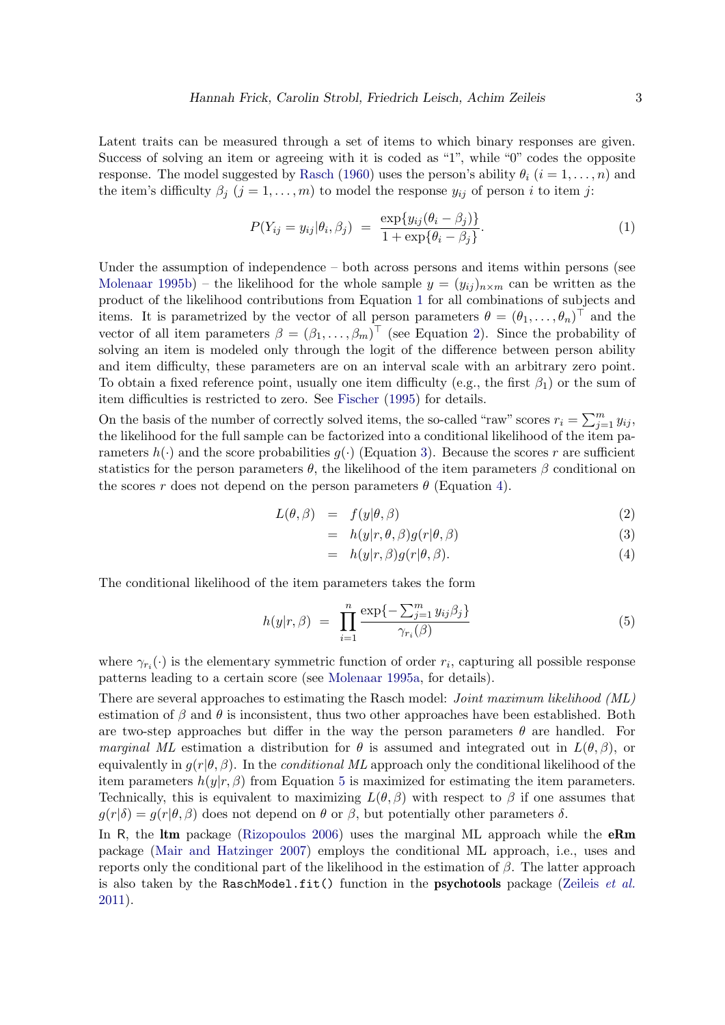Latent traits can be measured through a set of items to which binary responses are given. Success of solving an item or agreeing with it is coded as "1", while "0" codes the opposite response. The model suggested by [Rasch](#page-20-0) [\(1960\)](#page-20-0) uses the person's ability  $\theta_i$  ( $i = 1, \ldots, n$ ) and the item's difficulty  $\beta_j$   $(j = 1, ..., m)$  to model the response  $y_{ij}$  of person i to item j:

<span id="page-2-0"></span>
$$
P(Y_{ij} = y_{ij} | \theta_i, \beta_j) = \frac{\exp\{y_{ij}(\theta_i - \beta_j)\}}{1 + \exp\{\theta_i - \beta_j\}}.
$$
\n(1)

Under the assumption of independence – both across persons and items within persons (see [Molenaar 1995b\)](#page-20-11) – the likelihood for the whole sample  $y = (y_{ij})_{n \times m}$  can be written as the product of the likelihood contributions from Equation [1](#page-2-0) for all combinations of subjects and items. It is parametrized by the vector of all person parameters  $\theta = (\theta_1, \ldots, \theta_n)^\top$  and the vector of all item parameters  $\beta = (\beta_1, \ldots, \beta_m)^\top$  (see Equation [2\)](#page-2-1). Since the probability of solving an item is modeled only through the logit of the difference between person ability and item difficulty, these parameters are on an interval scale with an arbitrary zero point. To obtain a fixed reference point, usually one item difficulty (e.g., the first  $\beta_1$ ) or the sum of item difficulties is restricted to zero. See [Fischer](#page-19-4) [\(1995\)](#page-19-4) for details.

On the basis of the number of correctly solved items, the so-called "raw" scores  $r_i = \sum_{j=1}^m y_{ij}$ , the likelihood for the full sample can be factorized into a conditional likelihood of the item parameters  $h(\cdot)$  and the score probabilities  $g(\cdot)$  (Equation [3\)](#page-2-1). Because the scores r are sufficient statistics for the person parameters  $\theta$ , the likelihood of the item parameters  $\beta$  conditional on the scores r does not depend on the person parameters  $\theta$  (Equation [4\)](#page-2-1).

<span id="page-2-1"></span>
$$
L(\theta, \beta) = f(y|\theta, \beta) \tag{2}
$$

$$
= h(y|r, \theta, \beta)g(r|\theta, \beta) \tag{3}
$$

<span id="page-2-2"></span>
$$
= h(y|r, \beta)g(r|\theta, \beta). \tag{4}
$$

The conditional likelihood of the item parameters takes the form

$$
h(y|r,\beta) = \prod_{i=1}^{n} \frac{\exp\{-\sum_{j=1}^{m} y_{ij}\beta_j\}}{\gamma_{r_i}(\beta)}
$$
\n
$$
(5)
$$

where  $\gamma_{r_i}(\cdot)$  is the elementary symmetric function of order  $r_i$ , capturing all possible response patterns leading to a certain score (see [Molenaar 1995a,](#page-20-12) for details).

There are several approaches to estimating the Rasch model: *Joint maximum likelihood (ML)* estimation of  $\beta$  and  $\theta$  is inconsistent, thus two other approaches have been established. Both are two-step approaches but differ in the way the person parameters  $\theta$  are handled. For *marginal ML* estimation a distribution for  $\theta$  is assumed and integrated out in  $L(\theta, \beta)$ , or equivalently in  $q(r|\theta, \beta)$ . In the *conditional ML* approach only the conditional likelihood of the item parameters  $h(y|r, \beta)$  from Equation [5](#page-2-2) is maximized for estimating the item parameters. Technically, this is equivalent to maximizing  $L(\theta, \beta)$  with respect to  $\beta$  if one assumes that  $g(r|\delta) = g(r|\theta, \beta)$  does not depend on  $\theta$  or  $\beta$ , but potentially other parameters  $\delta$ .

In R, the **ltm** package [\(Rizopoulos 2006\)](#page-20-9) uses the marginal ML approach while the **eRm** package [\(Mair and Hatzinger 2007\)](#page-20-10) employs the conditional ML approach, i.e., uses and reports only the conditional part of the likelihood in the estimation of  $\beta$ . The latter approach is also taken by the RaschModel.fit() function in the psychotools package [\(Zeileis](#page-21-1) *et al.* [2011\)](#page-21-1).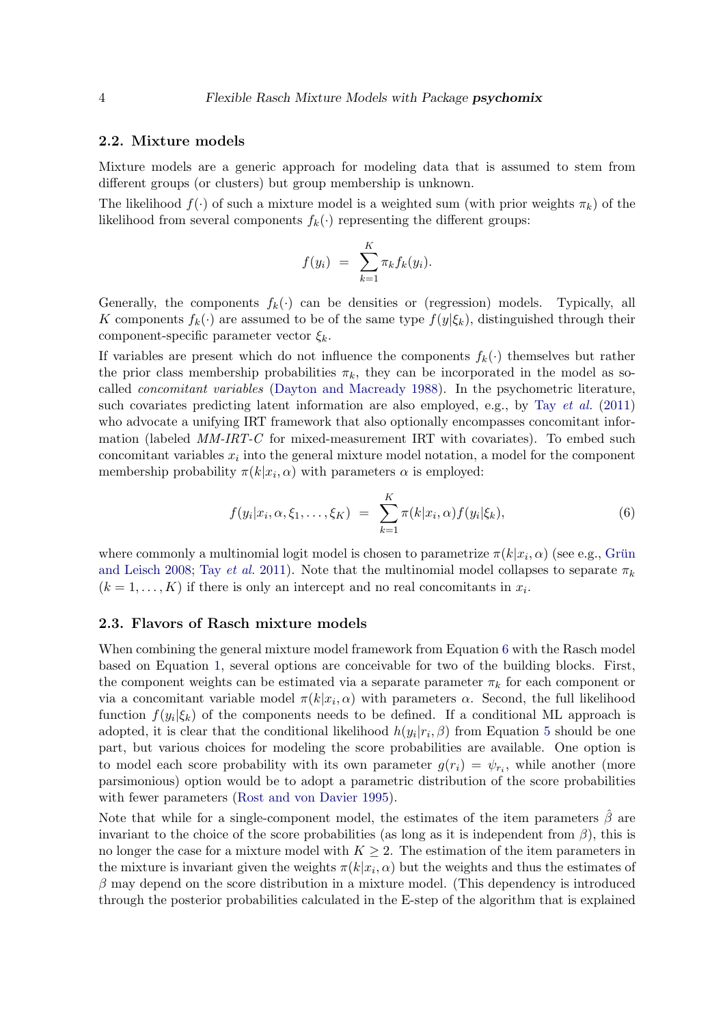#### 2.2. Mixture models

Mixture models are a generic approach for modeling data that is assumed to stem from different groups (or clusters) but group membership is unknown.

The likelihood  $f(\cdot)$  of such a mixture model is a weighted sum (with prior weights  $\pi_k$ ) of the likelihood from several components  $f_k(\cdot)$  representing the different groups:

$$
f(y_i) = \sum_{k=1}^K \pi_k f_k(y_i).
$$

Generally, the components  $f_k(\cdot)$  can be densities or (regression) models. Typically, all K components  $f_k(\cdot)$  are assumed to be of the same type  $f(y|\xi_k)$ , distinguished through their component-specific parameter vector  $\xi_k$ .

If variables are present which do not influence the components  $f_k(\cdot)$  themselves but rather the prior class membership probabilities  $\pi_k$ , they can be incorporated in the model as socalled *concomitant variables* [\(Dayton and Macready 1988\)](#page-19-5). In the psychometric literature, such covariates predicting latent information are also employed, e.g., by Tay *[et al.](#page-20-4)* [\(2011\)](#page-20-4) who advocate a unifying IRT framework that also optionally encompasses concomitant information (labeled *MM-IRT-C* for mixed-measurement IRT with covariates). To embed such concomitant variables  $x_i$  into the general mixture model notation, a model for the component membership probability  $\pi(k|x_i,\alpha)$  with parameters  $\alpha$  is employed:

<span id="page-3-0"></span>
$$
f(y_i|x_i, \alpha, \xi_1, \dots, \xi_K) = \sum_{k=1}^K \pi(k|x_i, \alpha) f(y_i|\xi_k), \tag{6}
$$

where commonly a multinomial logit model is chosen to parametrize  $\pi(k|x_i,\alpha)$  (see e.g., Grün [and Leisch 2008;](#page-20-8) Tay *[et al.](#page-20-4)* [2011\)](#page-20-4). Note that the multinomial model collapses to separate  $\pi_k$  $(k = 1, \ldots, K)$  if there is only an intercept and no real concomitants in  $x_i$ .

### <span id="page-3-1"></span>2.3. Flavors of Rasch mixture models

When combining the general mixture model framework from Equation [6](#page-3-0) with the Rasch model based on Equation [1,](#page-2-0) several options are conceivable for two of the building blocks. First, the component weights can be estimated via a separate parameter  $\pi_k$  for each component or via a concomitant variable model  $\pi(k|x_i,\alpha)$  with parameters  $\alpha$ . Second, the full likelihood function  $f(y_i|\xi_k)$  of the components needs to be defined. If a conditional ML approach is adopted, it is clear that the conditional likelihood  $h(y_i|r_i, \beta)$  from Equation [5](#page-2-2) should be one part, but various choices for modeling the score probabilities are available. One option is to model each score probability with its own parameter  $g(r_i) = \psi_{r_i}$ , while another (more parsimonious) option would be to adopt a parametric distribution of the score probabilities with fewer parameters [\(Rost and von Davier 1995\)](#page-20-13).

Note that while for a single-component model, the estimates of the item parameters  $\hat{\beta}$  are invariant to the choice of the score probabilities (as long as it is independent from  $\beta$ ), this is no longer the case for a mixture model with  $K \geq 2$ . The estimation of the item parameters in the mixture is invariant given the weights  $\pi(k|x_i,\alpha)$  but the weights and thus the estimates of  $\beta$  may depend on the score distribution in a mixture model. (This dependency is introduced through the posterior probabilities calculated in the E-step of the algorithm that is explained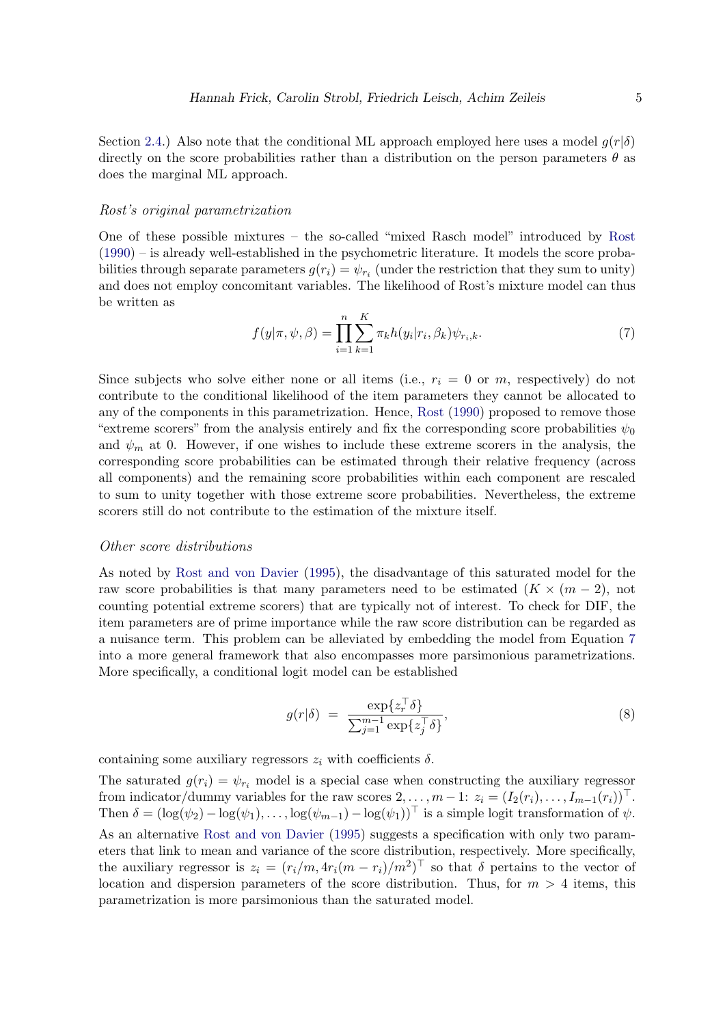Section [2.4.](#page-5-0)) Also note that the conditional ML approach employed here uses a model  $q(r|\delta)$ directly on the score probabilities rather than a distribution on the person parameters  $\theta$  as does the marginal ML approach.

#### Rost's original parametrization

One of these possible mixtures – the so-called "mixed Rasch model" introduced by [Rost](#page-20-3) [\(1990\)](#page-20-3) – is already well-established in the psychometric literature. It models the score probabilities through separate parameters  $g(r_i) = \psi_{r_i}$  (under the restriction that they sum to unity) and does not employ concomitant variables. The likelihood of Rost's mixture model can thus be written as

<span id="page-4-0"></span>
$$
f(y|\pi, \psi, \beta) = \prod_{i=1}^{n} \sum_{k=1}^{K} \pi_k h(y_i|r_i, \beta_k) \psi_{r_i, k}.
$$
 (7)

Since subjects who solve either none or all items (i.e.,  $r_i = 0$  or m, respectively) do not contribute to the conditional likelihood of the item parameters they cannot be allocated to any of the components in this parametrization. Hence, [Rost](#page-20-3) [\(1990\)](#page-20-3) proposed to remove those "extreme scorers" from the analysis entirely and fix the corresponding score probabilities  $\psi_0$ and  $\psi_m$  at 0. However, if one wishes to include these extreme scorers in the analysis, the corresponding score probabilities can be estimated through their relative frequency (across all components) and the remaining score probabilities within each component are rescaled to sum to unity together with those extreme score probabilities. Nevertheless, the extreme scorers still do not contribute to the estimation of the mixture itself.

#### Other score distributions

As noted by [Rost and von Davier](#page-20-13) [\(1995\)](#page-20-13), the disadvantage of this saturated model for the raw score probabilities is that many parameters need to be estimated  $(K \times (m-2))$ , not counting potential extreme scorers) that are typically not of interest. To check for DIF, the item parameters are of prime importance while the raw score distribution can be regarded as a nuisance term. This problem can be alleviated by embedding the model from Equation [7](#page-4-0) into a more general framework that also encompasses more parsimonious parametrizations. More specifically, a conditional logit model can be established

$$
g(r|\delta) = \frac{\exp\{z_r^\top \delta\}}{\sum_{j=1}^{m-1} \exp\{z_j^\top \delta\}},\tag{8}
$$

containing some auxiliary regressors  $z_i$  with coefficients  $\delta$ .

The saturated  $g(r_i) = \psi_{r_i}$  model is a special case when constructing the auxiliary regressor from indicator/dummy variables for the raw scores  $2, \ldots, m-1: z_i = (I_2(r_i), \ldots, I_{m-1}(r_i))^{\top}$ . Then  $\delta = (\log(\psi_2) - \log(\psi_1), \ldots, \log(\psi_{m-1}) - \log(\psi_1))^\top$  is a simple logit transformation of  $\psi$ . As an alternative [Rost and von Davier](#page-20-13) [\(1995\)](#page-20-13) suggests a specification with only two parameters that link to mean and variance of the score distribution, respectively. More specifically, the auxiliary regressor is  $z_i = (r_i/m, 4r_i(m - r_i)/m^2)^\top$  so that  $\delta$  pertains to the vector of location and dispersion parameters of the score distribution. Thus, for  $m > 4$  items, this parametrization is more parsimonious than the saturated model.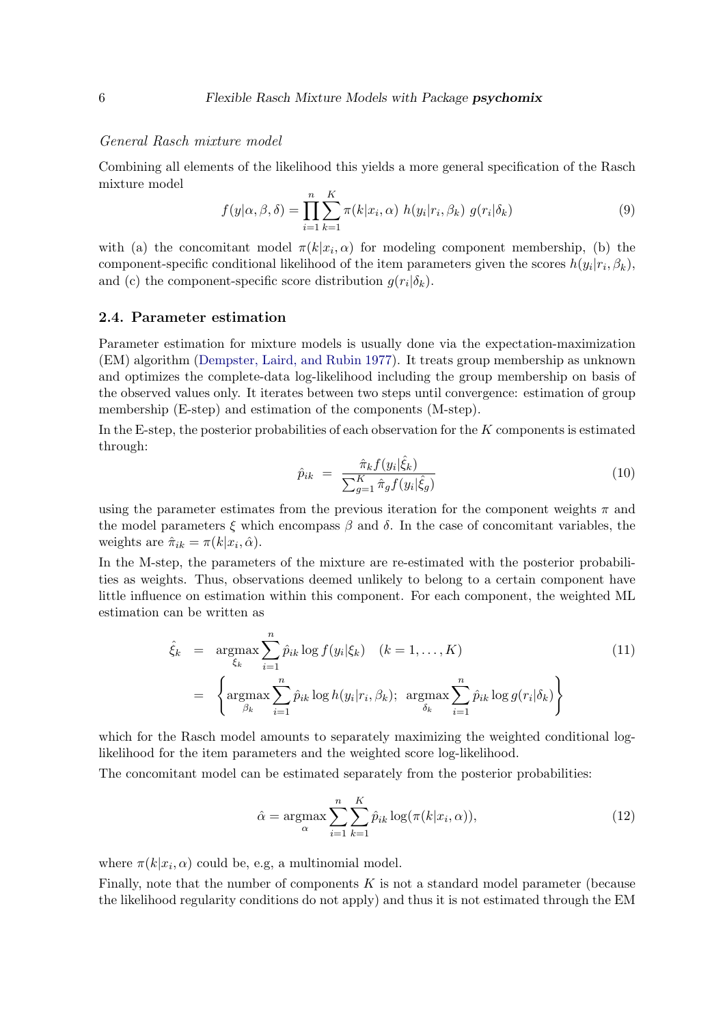#### General Rasch mixture model

Combining all elements of the likelihood this yields a more general specification of the Rasch mixture model  $\overline{r}$ 

$$
f(y|\alpha, \beta, \delta) = \prod_{i=1}^{n} \sum_{k=1}^{K} \pi(k|x_i, \alpha) h(y_i|r_i, \beta_k) g(r_i|\delta_k)
$$
\n(9)

with (a) the concomitant model  $\pi(k|x_i,\alpha)$  for modeling component membership, (b) the component-specific conditional likelihood of the item parameters given the scores  $h(y_i|r_i, \beta_k)$ , and (c) the component-specific score distribution  $g(r_i|\delta_k)$ .

#### <span id="page-5-0"></span>2.4. Parameter estimation

Parameter estimation for mixture models is usually done via the expectation-maximization (EM) algorithm [\(Dempster, Laird, and Rubin 1977\)](#page-19-6). It treats group membership as unknown and optimizes the complete-data log-likelihood including the group membership on basis of the observed values only. It iterates between two steps until convergence: estimation of group membership (E-step) and estimation of the components (M-step).

In the E-step, the posterior probabilities of each observation for the K components is estimated through:

$$
\hat{p}_{ik} = \frac{\hat{\pi}_k f(y_i | \hat{\xi}_k)}{\sum_{g=1}^K \hat{\pi}_g f(y_i | \hat{\xi}_g)}
$$
\n(10)

using the parameter estimates from the previous iteration for the component weights  $\pi$  and the model parameters  $\xi$  which encompass  $\beta$  and  $\delta$ . In the case of concomitant variables, the weights are  $\hat{\pi}_{ik} = \pi(k|x_i, \hat{\alpha}).$ 

In the M-step, the parameters of the mixture are re-estimated with the posterior probabilities as weights. Thus, observations deemed unlikely to belong to a certain component have little influence on estimation within this component. For each component, the weighted ML estimation can be written as

<span id="page-5-1"></span>
$$
\hat{\xi}_k = \underset{\xi_k}{\text{argmax}} \sum_{i=1}^n \hat{p}_{ik} \log f(y_i | \xi_k) \quad (k = 1, \dots, K)
$$
\n
$$
= \left\{ \underset{\beta_k}{\text{argmax}} \sum_{i=1}^n \hat{p}_{ik} \log h(y_i | r_i, \beta_k); \underset{\delta_k}{\text{argmax}} \sum_{i=1}^n \hat{p}_{ik} \log g(r_i | \delta_k) \right\}
$$
\n(11)

which for the Rasch model amounts to separately maximizing the weighted conditional loglikelihood for the item parameters and the weighted score log-likelihood.

The concomitant model can be estimated separately from the posterior probabilities:

$$
\hat{\alpha} = \underset{\alpha}{\operatorname{argmax}} \sum_{i=1}^{n} \sum_{k=1}^{K} \hat{p}_{ik} \log(\pi(k|x_i, \alpha)), \tag{12}
$$

where  $\pi(k|x_i,\alpha)$  could be, e.g, a multinomial model.

Finally, note that the number of components  $K$  is not a standard model parameter (because the likelihood regularity conditions do not apply) and thus it is not estimated through the EM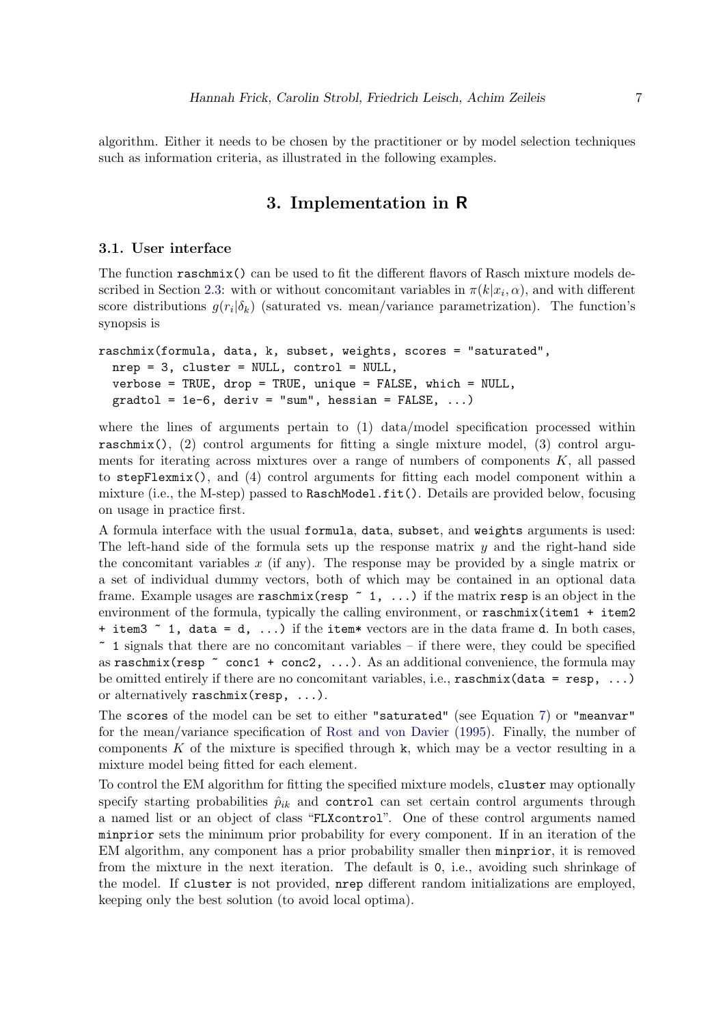algorithm. Either it needs to be chosen by the practitioner or by model selection techniques such as information criteria, as illustrated in the following examples.

# 3. Implementation in R

#### <span id="page-6-1"></span><span id="page-6-0"></span>3.1. User interface

The function raschmix() can be used to fit the different flavors of Rasch mixture models de-scribed in Section [2.3:](#page-3-1) with or without concomitant variables in  $\pi(k|x_i,\alpha)$ , and with different score distributions  $g(r_i|\delta_k)$  (saturated vs. mean/variance parametrization). The function's synopsis is

```
raschmix(formula, data, k, subset, weights, scores = "saturated",
 nrep = 3, cluster = NULL, control = NULL,
 verbose = TRUE, drop = TRUE, unique = FALSE, which = NULL,
 gradtol = 1e-6, deriv = "sum", hessian = FALSE, ...)
```
where the lines of arguments pertain to (1) data/model specification processed within raschmix(), (2) control arguments for fitting a single mixture model, (3) control arguments for iterating across mixtures over a range of numbers of components  $K$ , all passed to stepFlexmix(), and (4) control arguments for fitting each model component within a mixture (i.e., the M-step) passed to RaschModel.fit(). Details are provided below, focusing on usage in practice first.

A formula interface with the usual formula, data, subset, and weights arguments is used: The left-hand side of the formula sets up the response matrix  $y$  and the right-hand side the concomitant variables  $x$  (if any). The response may be provided by a single matrix or a set of individual dummy vectors, both of which may be contained in an optional data frame. Example usages are raschmix (resp  $\sim$  1, ...) if the matrix resp is an object in the environment of the formula, typically the calling environment, or raschmix(item1 + item2) + item3  $\degree$  1, data = d, ...) if the item\* vectors are in the data frame d. In both cases,  $\sim$  1 signals that there are no concomitant variables – if there were, they could be specified as raschmix (resp  $\tilde{\phantom{a}}$  conc1 + conc2, ...). As an additional convenience, the formula may be omitted entirely if there are no concomitant variables, i.e.,  $\text{raschmix}(data = \text{resp}, \ldots)$ or alternatively raschmix(resp, ...).

The scores of the model can be set to either "saturated" (see Equation [7\)](#page-4-0) or "meanvar" for the mean/variance specification of [Rost and von Davier](#page-20-13) [\(1995\)](#page-20-13). Finally, the number of components K of the mixture is specified through k, which may be a vector resulting in a mixture model being fitted for each element.

To control the EM algorithm for fitting the specified mixture models, cluster may optionally specify starting probabilities  $\hat{p}_{ik}$  and control can set certain control arguments through a named list or an object of class "FLXcontrol". One of these control arguments named minprior sets the minimum prior probability for every component. If in an iteration of the EM algorithm, any component has a prior probability smaller then minprior, it is removed from the mixture in the next iteration. The default is 0, i.e., avoiding such shrinkage of the model. If cluster is not provided, nrep different random initializations are employed, keeping only the best solution (to avoid local optima).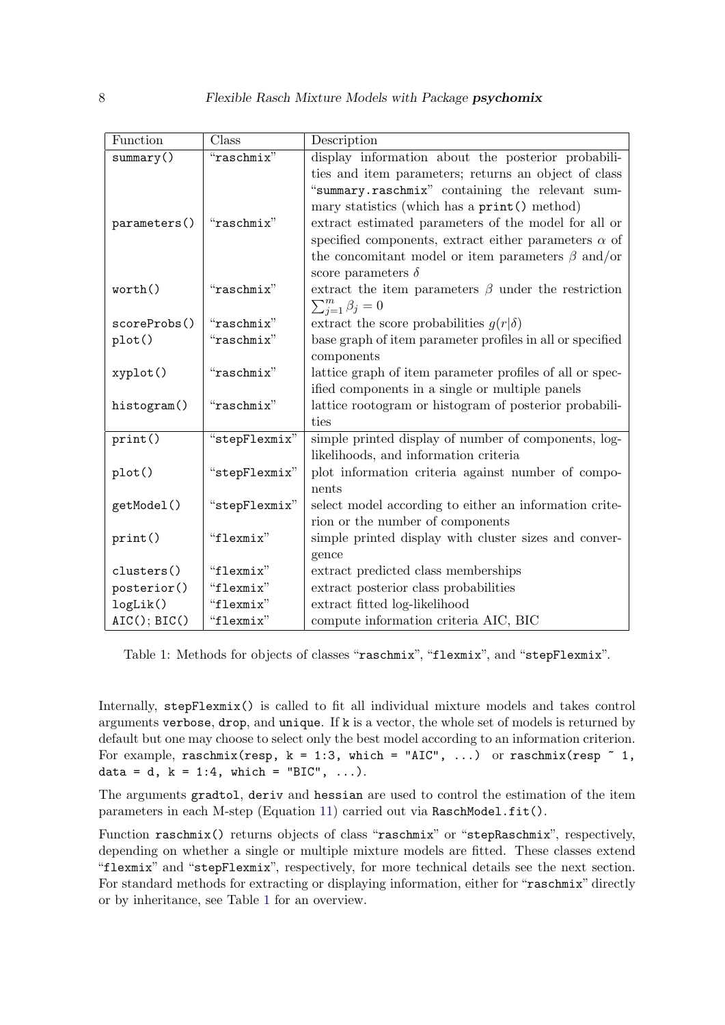| Function          | Class         | Description                                                 |
|-------------------|---------------|-------------------------------------------------------------|
| summary()         | "raschmix"    | display information about the posterior probabili-          |
|                   |               | ties and item parameters; returns an object of class        |
|                   |               | "summary.raschmix" containing the relevant sum-             |
|                   |               | mary statistics (which has a print () method)               |
| parameters()      | "raschmix"    | extract estimated parameters of the model for all or        |
|                   |               | specified components, extract either parameters $\alpha$ of |
|                   |               | the concomitant model or item parameters $\beta$ and/or     |
|                   |               | score parameters $\delta$                                   |
| worth()           | "raschmix"    | extract the item parameters $\beta$ under the restriction   |
|                   |               | $\sum_{j=1}^m \beta_j = 0$                                  |
| scoreProbs()      | "raschmix"    | extract the score probabilities $g(r \delta)$               |
| plot()            | "raschmix"    | base graph of item parameter profiles in all or specified   |
|                   |               | components                                                  |
| xyplot()          | "raschmix"    | lattice graph of item parameter profiles of all or spec-    |
|                   |               | ified components in a single or multiple panels             |
| histogram()       | "raschmix"    | lattice rootogram or histogram of posterior probabili-      |
|                   |               | ties                                                        |
| print()           | "stepFlexmix" | simple printed display of number of components, log-        |
|                   |               | likelihoods, and information criteria                       |
| plot()            | "stepFlexmix" | plot information criteria against number of compo-          |
|                   |               | nents                                                       |
| getModel()        | "stepFlexmix" | select model according to either an information crite-      |
|                   |               | rion or the number of components                            |
| print()           | "flexmix"     | simple printed display with cluster sizes and conver-       |
|                   |               | gence                                                       |
| clusters()        | "flexmix"     | extract predicted class memberships                         |
| posterior()       | "flexmix"     | extract posterior class probabilities                       |
| logList()         | "flexmix"     | extract fitted log-likelihood                               |
| $AIC()$ ; $BIC()$ | "flexmix"     | compute information criteria AIC, BIC                       |

<span id="page-7-0"></span>Table 1: Methods for objects of classes "raschmix", "flexmix", and "stepFlexmix".

Internally, stepFlexmix() is called to fit all individual mixture models and takes control arguments verbose, drop, and unique. If k is a vector, the whole set of models is returned by default but one may choose to select only the best model according to an information criterion. For example, raschmix(resp,  $k = 1:3$ , which = "AIC", ...) or raschmix(resp  $\degree$  1, data = d,  $k = 1:4$ , which = "BIC", ...).

The arguments gradtol, deriv and hessian are used to control the estimation of the item parameters in each M-step (Equation [11\)](#page-5-1) carried out via RaschModel.fit().

Function raschmix() returns objects of class "raschmix" or "stepRaschmix", respectively, depending on whether a single or multiple mixture models are fitted. These classes extend "flexmix" and "stepFlexmix", respectively, for more technical details see the next section. For standard methods for extracting or displaying information, either for "raschmix" directly or by inheritance, see Table [1](#page-7-0) for an overview.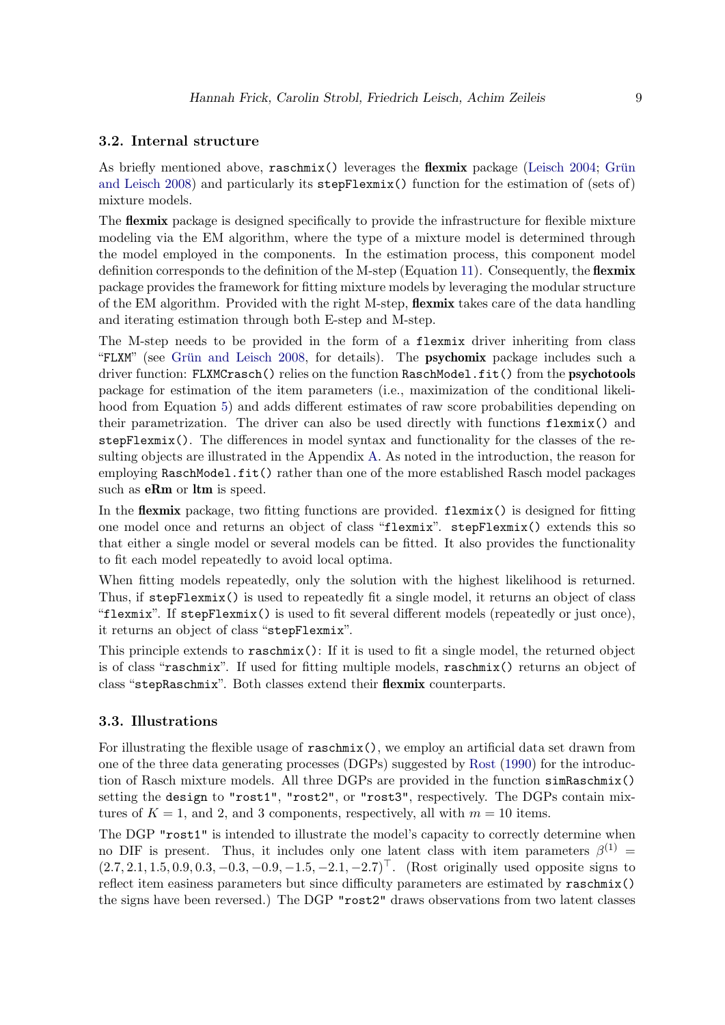### 3.2. Internal structure

As briefly mentioned above, raschmix() leverages the **flexmix** package [\(Leisch 2004;](#page-20-7) Grün [and Leisch 2008\)](#page-20-8) and particularly its stepFlexmix() function for the estimation of (sets of) mixture models.

The **flexmix** package is designed specifically to provide the infrastructure for flexible mixture modeling via the EM algorithm, where the type of a mixture model is determined through the model employed in the components. In the estimation process, this component model definition corresponds to the definition of the M-step (Equation [11\)](#page-5-1). Consequently, the **flexmix** package provides the framework for fitting mixture models by leveraging the modular structure of the EM algorithm. Provided with the right M-step, **flexmix** takes care of the data handling and iterating estimation through both E-step and M-step.

The M-step needs to be provided in the form of a flexmix driver inheriting from class "FLXM" (see Grün and Leisch 2008, for details). The **psychomix** package includes such a driver function: FLXMCrasch() relies on the function RaschModel.fit() from the psychotools package for estimation of the item parameters (i.e., maximization of the conditional likelihood from Equation [5\)](#page-2-2) and adds different estimates of raw score probabilities depending on their parametrization. The driver can also be used directly with functions flexmix() and stepFlexmix(). The differences in model syntax and functionality for the classes of the resulting objects are illustrated in the Appendix [A.](#page-22-0) As noted in the introduction, the reason for employing RaschModel.fit() rather than one of the more established Rasch model packages such as **eRm** or  $\text{ltm}$  is speed.

In the **flexmix** package, two fitting functions are provided. **flexmix**() is designed for fitting one model once and returns an object of class "flexmix". stepFlexmix() extends this so that either a single model or several models can be fitted. It also provides the functionality to fit each model repeatedly to avoid local optima.

When fitting models repeatedly, only the solution with the highest likelihood is returned. Thus, if stepFlexmix() is used to repeatedly fit a single model, it returns an object of class "flexmix". If stepFlexmix() is used to fit several different models (repeatedly or just once), it returns an object of class "stepFlexmix".

This principle extends to raschmix(): If it is used to fit a single model, the returned object is of class "raschmix". If used for fitting multiple models, raschmix() returns an object of class "stepRaschmix". Both classes extend their flexmix counterparts.

### <span id="page-8-0"></span>3.3. Illustrations

For illustrating the flexible usage of raschmix(), we employ an artificial data set drawn from one of the three data generating processes (DGPs) suggested by [Rost](#page-20-3) [\(1990\)](#page-20-3) for the introduction of Rasch mixture models. All three DGPs are provided in the function simRaschmix() setting the design to "rost1", "rost2", or "rost3", respectively. The DGPs contain mixtures of  $K = 1$ , and 2, and 3 components, respectively, all with  $m = 10$  items.

The DGP "rost1" is intended to illustrate the model's capacity to correctly determine when no DIF is present. Thus, it includes only one latent class with item parameters  $\beta^{(1)}$  =  $(2.7, 2.1, 1.5, 0.9, 0.3, -0.3, -0.9, -1.5, -2.1, -2.7)$ <sup>T</sup>. (Rost originally used opposite signs to reflect item easiness parameters but since difficulty parameters are estimated by raschmix() the signs have been reversed.) The DGP "rost2" draws observations from two latent classes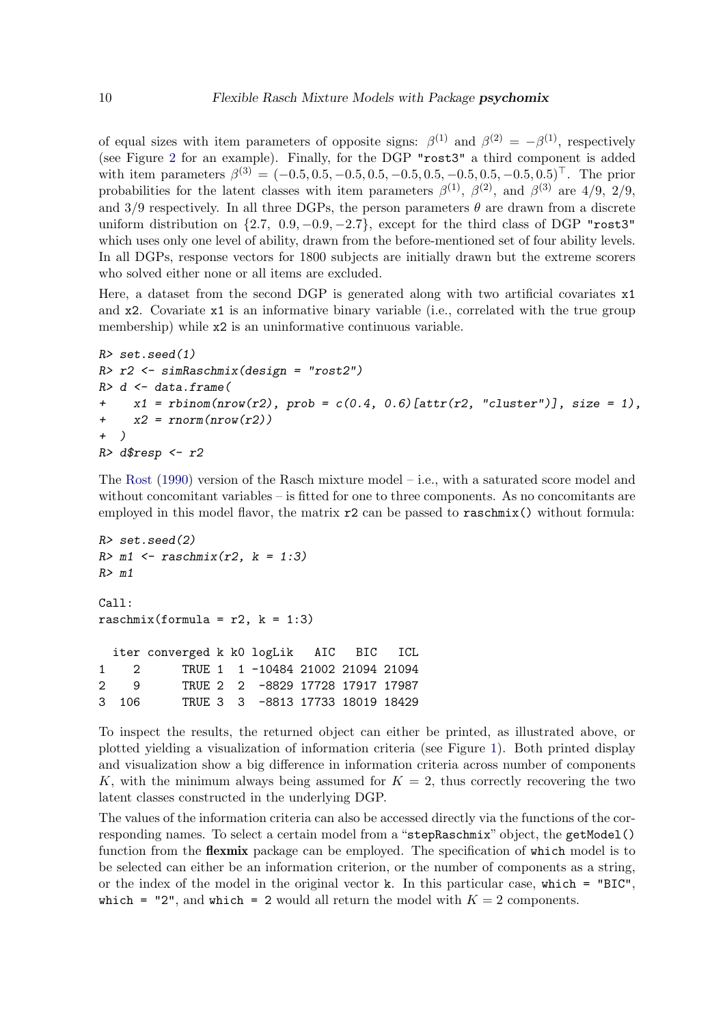of equal sizes with item parameters of opposite signs:  $\beta^{(1)}$  and  $\beta^{(2)} = -\beta^{(1)}$ , respectively (see Figure [2](#page-13-0) for an example). Finally, for the DGP "rost3" a third component is added with item parameters  $\beta^{(3)} = (-0.5, 0.5, -0.5, 0.5, -0.5, 0.5, -0.5, 0.5, -0.5, 0.5)^{\top}$ . The prior probabilities for the latent classes with item parameters  $\beta^{(1)}$ ,  $\beta^{(2)}$ , and  $\beta^{(3)}$  are 4/9, 2/9, and  $3/9$  respectively. In all three DGPs, the person parameters  $\theta$  are drawn from a discrete uniform distribution on  $\{2.7, 0.9, -0.9, -2.7\}$ , except for the third class of DGP "rost3" which uses only one level of ability, drawn from the before-mentioned set of four ability levels. In all DGPs, response vectors for 1800 subjects are initially drawn but the extreme scorers who solved either none or all items are excluded.

Here, a dataset from the second DGP is generated along with two artificial covariates  $x1$ and x2. Covariate x1 is an informative binary variable (i.e., correlated with the true group membership) while  $x2$  is an uninformative continuous variable.

```
R> set.seed(1)
R> r2 <- simRaschmix(design = "rost2")
R> d <- data.frame(
+ x1 = rbinom(nrow(r2), prob = c(0.4, 0.6)[attr(r2, "cluster")], size = 1),
+ x2 = rnorm(nrow(r2))
+ )
R> d$resp <- r2
```
The [Rost](#page-20-3) [\(1990\)](#page-20-3) version of the Rasch mixture model – i.e., with a saturated score model and without concomitant variables – is fitted for one to three components. As no concomitants are employed in this model flavor, the matrix  $r^2$  can be passed to raschmix() without formula:

```
R> set.seed(2)
R> m1 <- raschmix(r2, k = 1:3)
R> m1
C<sub>a</sub>11:
raschmix(formula = r2, k = 1:3)
  iter converged k k0 logLik AIC BIC ICL
1 2 TRUE 1 1 -10484 21002 21094 21094
2 9 TRUE 2 2 -8829 17728 17917 17987
3 106 TRUE 3 3 -8813 17733 18019 18429
```
To inspect the results, the returned object can either be printed, as illustrated above, or plotted yielding a visualization of information criteria (see Figure [1\)](#page-10-0). Both printed display and visualization show a big difference in information criteria across number of components K, with the minimum always being assumed for  $K = 2$ , thus correctly recovering the two latent classes constructed in the underlying DGP.

The values of the information criteria can also be accessed directly via the functions of the corresponding names. To select a certain model from a "stepRaschmix" object, the getModel() function from the **flexmix** package can be employed. The specification of which model is to be selected can either be an information criterion, or the number of components as a string, or the index of the model in the original vector k. In this particular case, which  $=$  "BIC", which = "2", and which = 2 would all return the model with  $K = 2$  components.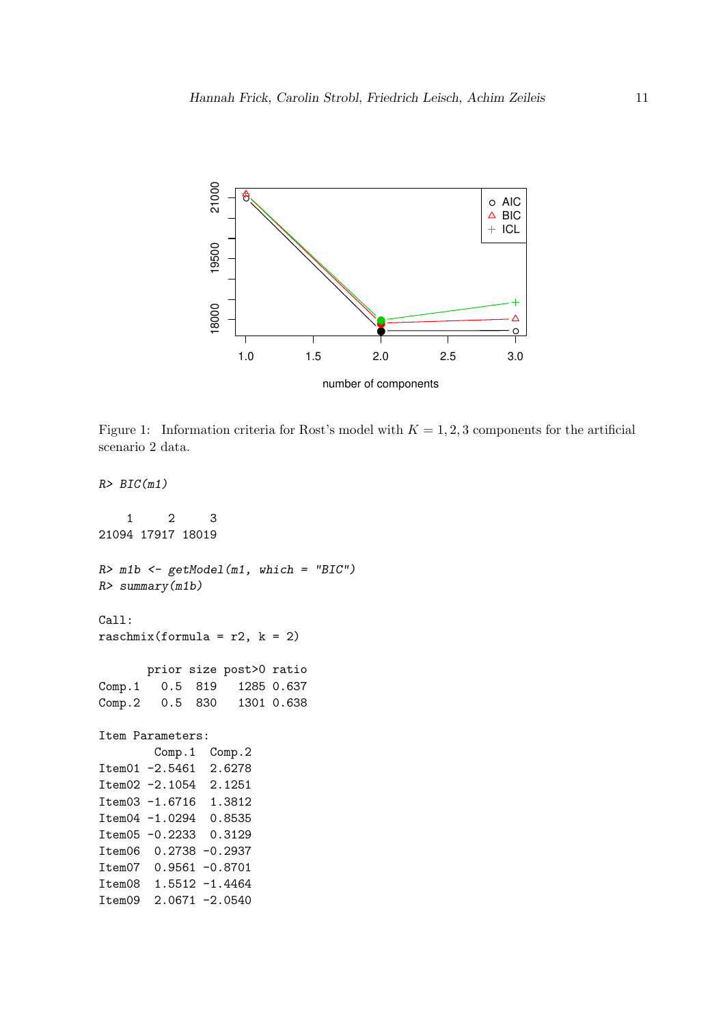

<span id="page-10-0"></span>Figure 1: Information criteria for Rost's model with  $K = 1, 2, 3$  components for the artificial scenario 2 data.

1 2 3 21094 17917 18019 *R> m1b <- getModel(m1, which = "BIC") R> summary(m1b)* Call: raschmix(formula =  $r2$ ,  $k = 2$ ) prior size post>0 ratio Comp.1 0.5 819 1285 0.637 Comp.2 0.5 830 1301 0.638 Item Parameters: Comp.1 Comp.2 Item01 -2.5461 2.6278 Item02 -2.1054 2.1251 Item03 -1.6716 1.3812 Item04 -1.0294 0.8535 Item05 -0.2233 0.3129 Item06 0.2738 -0.2937 Item07 0.9561 -0.8701 Item08 1.5512 -1.4464 Item09 2.0671 -2.0540

*R> BIC(m1)*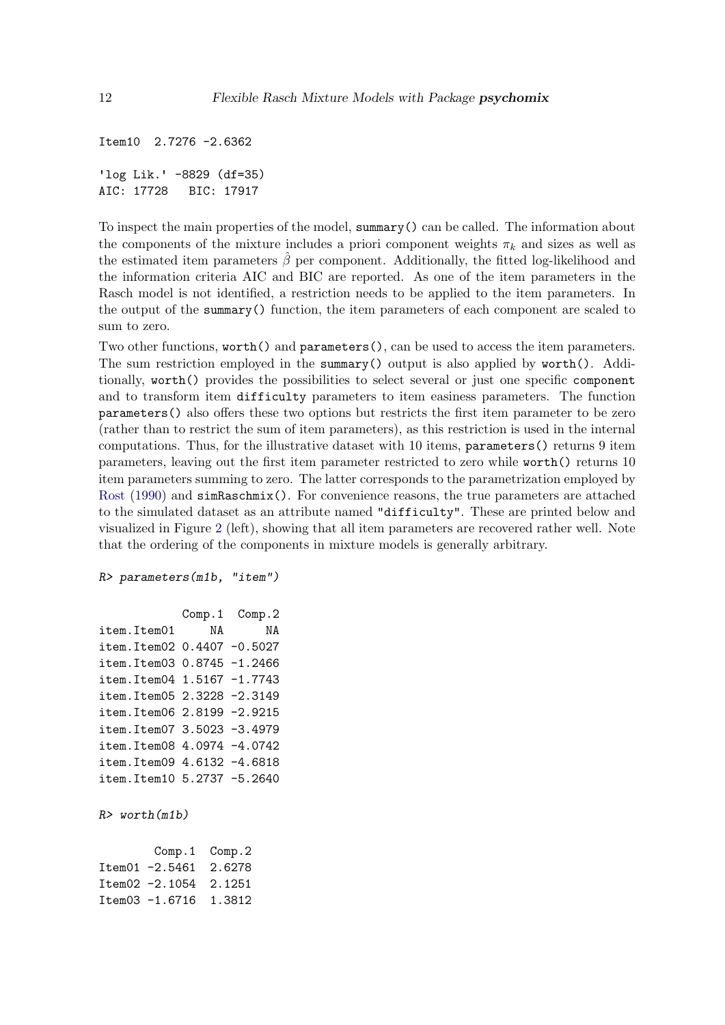```
Item10 2.7276 -2.6362
'log Lik.' -8829 (df=35)
AIC: 17728 BIC: 17917
```
To inspect the main properties of the model, summary() can be called. The information about the components of the mixture includes a priori component weights  $\pi_k$  and sizes as well as the estimated item parameters  $\hat{\beta}$  per component. Additionally, the fitted log-likelihood and the information criteria AIC and BIC are reported. As one of the item parameters in the Rasch model is not identified, a restriction needs to be applied to the item parameters. In the output of the summary() function, the item parameters of each component are scaled to sum to zero.

Two other functions, worth() and parameters(), can be used to access the item parameters. The sum restriction employed in the summary() output is also applied by worth(). Additionally, worth() provides the possibilities to select several or just one specific component and to transform item difficulty parameters to item easiness parameters. The function parameters() also offers these two options but restricts the first item parameter to be zero (rather than to restrict the sum of item parameters), as this restriction is used in the internal computations. Thus, for the illustrative dataset with 10 items, parameters() returns 9 item parameters, leaving out the first item parameter restricted to zero while worth() returns 10 item parameters summing to zero. The latter corresponds to the parametrization employed by [Rost](#page-20-3) [\(1990\)](#page-20-3) and simRaschmix(). For convenience reasons, the true parameters are attached to the simulated dataset as an attribute named "difficulty". These are printed below and visualized in Figure [2](#page-13-0) (left), showing that all item parameters are recovered rather well. Note that the ordering of the components in mixture models is generally arbitrary.

```
R> parameters(m1b, "item")
```

```
Comp.1 Comp.2
item.Item01 NA NA
item.Item02 0.4407 -0.5027
item.Item03 0.8745 -1.2466
item.Item04 1.5167 -1.7743
item.Item05 2.3228 -2.3149
item.Item06 2.8199 -2.9215
item.Item07 3.5023 -3.4979
item.Item08 4.0974 -4.0742
item.Item09 4.6132 -4.6818
item.Item10 5.2737 -5.2640
```
*R> worth(m1b)*

|                       | $Comp.1$ $Comp.2$ |
|-----------------------|-------------------|
| Item01 -2.5461 2.6278 |                   |
| Item02 -2.1054 2.1251 |                   |
| Item03 -1.6716 1.3812 |                   |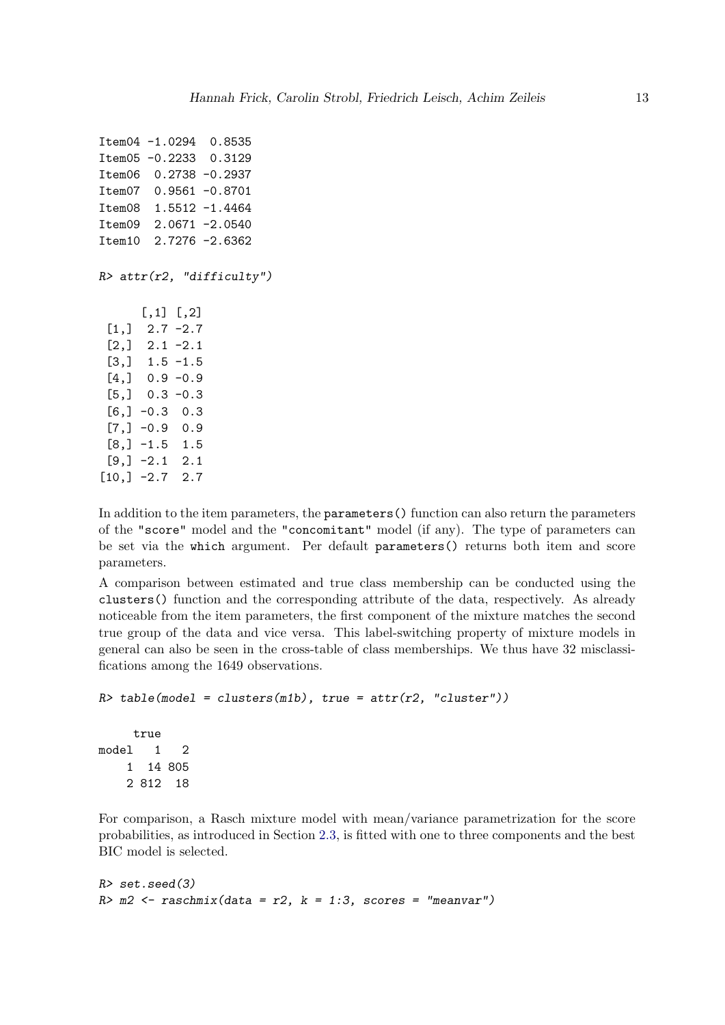Item04 -1.0294 0.8535 Item05 -0.2233 0.3129 Item06 0.2738 -0.2937 Item07 0.9561 -0.8701 Item08 1.5512 -1.4464 Item09 2.0671 -2.0540 Item10 2.7276 -2.6362

*R> attr(r2, "difficulty")*

|       | $[,1]$ $[,2]$ |             |
|-------|---------------|-------------|
| [1,]  |               | $2.7 - 2.7$ |
| [2,]  | 2.1           | $-2.1$      |
| [3,]  | 1.5           | $-1.5$      |
| [4,]  | 0.9           | $-0.9$      |
| [5,]  | 0.3           | $-0.3$      |
| [6,]  | $-0.3$        | 0.3         |
| [7,]  | $-0.9$        | 0.9         |
| [8,]  | -1.5          | 1.5         |
| [9,]  | $-2.1$        | 2.1         |
| [10,] | -2.7          | 2.7         |

In addition to the item parameters, the parameters() function can also return the parameters of the "score" model and the "concomitant" model (if any). The type of parameters can be set via the which argument. Per default parameters() returns both item and score parameters.

A comparison between estimated and true class membership can be conducted using the clusters() function and the corresponding attribute of the data, respectively. As already noticeable from the item parameters, the first component of the mixture matches the second true group of the data and vice versa. This label-switching property of mixture models in general can also be seen in the cross-table of class memberships. We thus have 32 misclassifications among the 1649 observations.

```
R> table(model = clusters(m1b), true = attr(r2, "cluster"))
```
true model 1 2 1 14 805 2 812 18

For comparison, a Rasch mixture model with mean/variance parametrization for the score probabilities, as introduced in Section [2.3,](#page-3-1) is fitted with one to three components and the best BIC model is selected.

```
R> set.seed(3)
R> m2 <- raschmix(data = r2, k = 1:3, scores = "meanvar")
```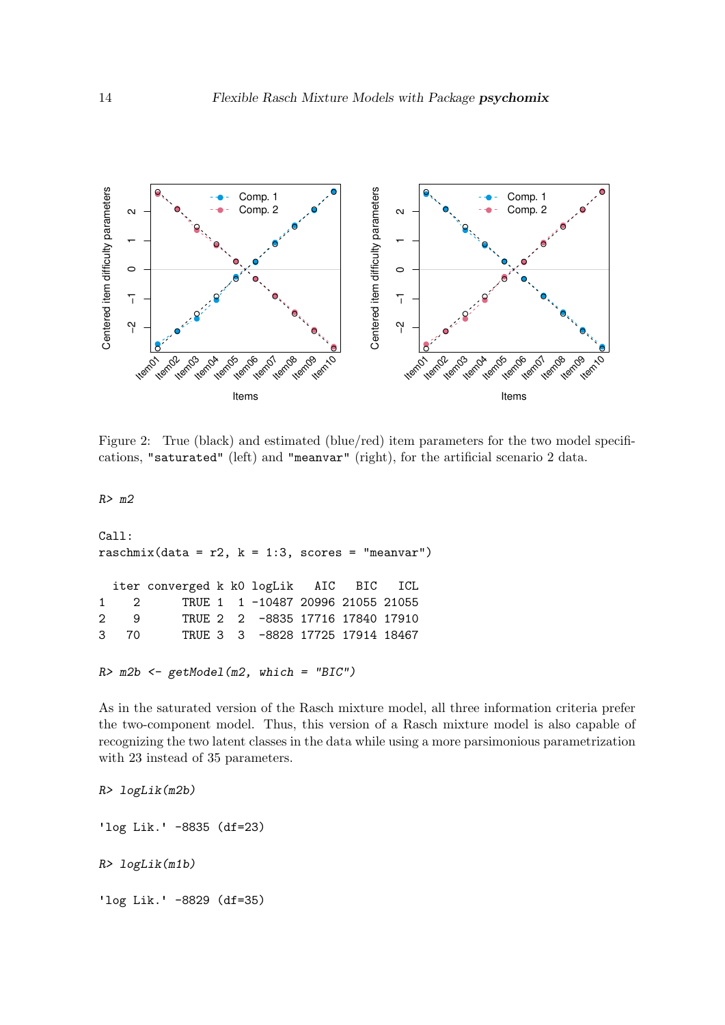

<span id="page-13-0"></span>Figure 2: True (black) and estimated (blue/red) item parameters for the two model specifications, "saturated" (left) and "meanvar" (right), for the artificial scenario 2 data.

*R> m2*

```
Call:
raschmix(data = r2, k = 1:3, scores = "meanvar")
  iter converged k k0 logLik AIC BIC ICL
1 2 TRUE 1 1 -10487 20996 21055 21055
2 9 TRUE 2 2 -8835 17716 17840 17910
3 70 TRUE 3 3 -8828 17725 17914 18467
R> m2b <- getModel(m2, which = "BIC")
```
As in the saturated version of the Rasch mixture model, all three information criteria prefer the two-component model. Thus, this version of a Rasch mixture model is also capable of recognizing the two latent classes in the data while using a more parsimonious parametrization with 23 instead of 35 parameters.

```
R> logLik(m2b)
'log Lik.' -8835 (df=23)
R> logLik(m1b)
'log Lik.' -8829 (df=35)
```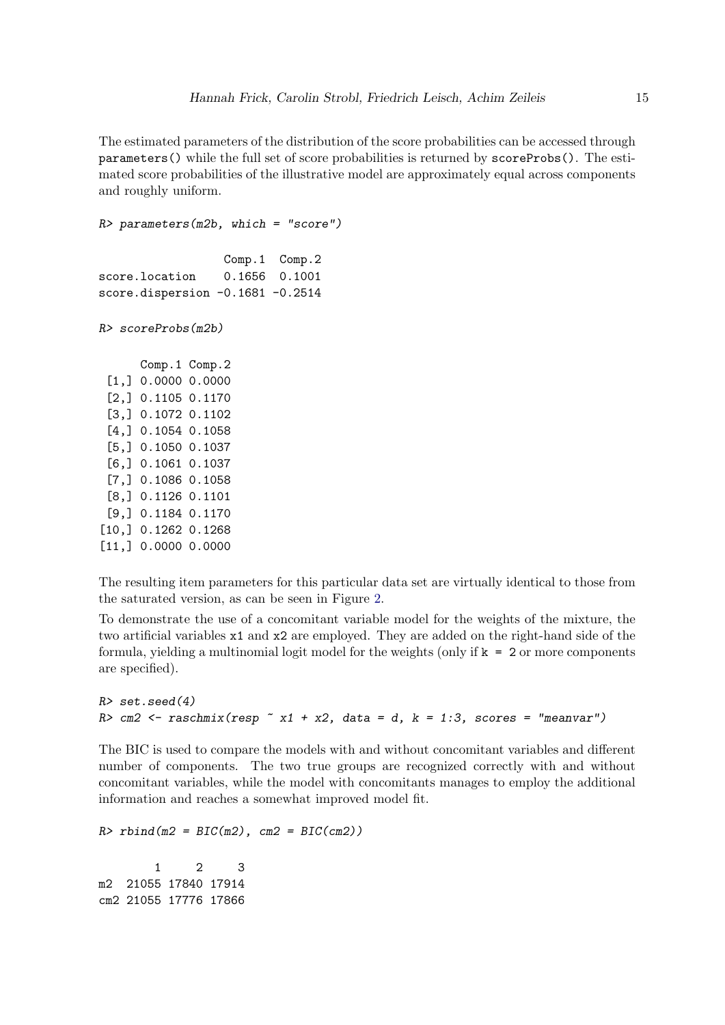The estimated parameters of the distribution of the score probabilities can be accessed through parameters() while the full set of score probabilities is returned by scoreProbs(). The estimated score probabilities of the illustrative model are approximately equal across components and roughly uniform.

*R> parameters(m2b, which = "score")* Comp.1 Comp.2 score.location 0.1656 0.1001 score.dispersion -0.1681 -0.2514 *R> scoreProbs(m2b)* Comp.1 Comp.2 [1,] 0.0000 0.0000

[2,] 0.1105 0.1170 [3,] 0.1072 0.1102 [4,] 0.1054 0.1058 [5,] 0.1050 0.1037 [6,] 0.1061 0.1037 [7,] 0.1086 0.1058 [8,] 0.1126 0.1101 [9,] 0.1184 0.1170 [10,] 0.1262 0.1268 [11,] 0.0000 0.0000

The resulting item parameters for this particular data set are virtually identical to those from the saturated version, as can be seen in Figure [2.](#page-13-0)

To demonstrate the use of a concomitant variable model for the weights of the mixture, the two artificial variables x1 and x2 are employed. They are added on the right-hand side of the formula, yielding a multinomial logit model for the weights (only if  $k = 2$  or more components are specified).

```
R> set.seed(4)
R> cm2 <- raschmix(resp ~ x1 + x2, data = d, k = 1:3, scores = "meanvar")
```
The BIC is used to compare the models with and without concomitant variables and different number of components. The two true groups are recognized correctly with and without concomitant variables, while the model with concomitants manages to employ the additional information and reaches a somewhat improved model fit.

*R> rbind(m2 = BIC(m2), cm2 = BIC(cm2))*

1 2 3 m2 21055 17840 17914 cm2 21055 17776 17866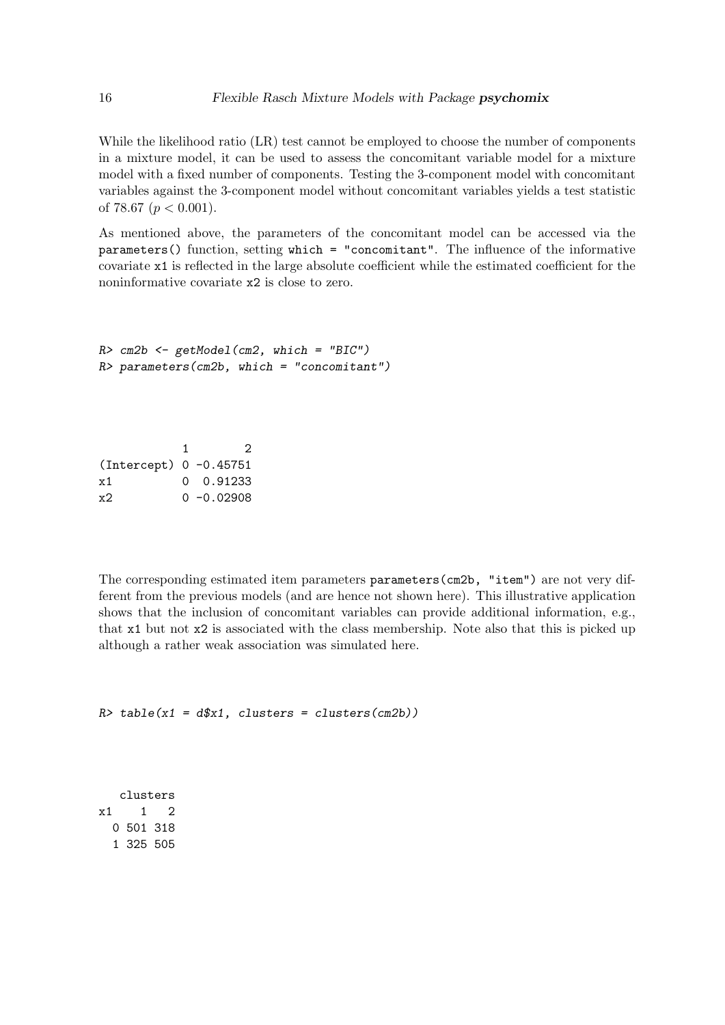While the likelihood ratio (LR) test cannot be employed to choose the number of components in a mixture model, it can be used to assess the concomitant variable model for a mixture model with a fixed number of components. Testing the 3-component model with concomitant variables against the 3-component model without concomitant variables yields a test statistic of 78.67 ( $p < 0.001$ ).

As mentioned above, the parameters of the concomitant model can be accessed via the parameters() function, setting which = "concomitant". The influence of the informative covariate x1 is reflected in the large absolute coefficient while the estimated coefficient for the noninformative covariate x2 is close to zero.

```
R> cm2b <- getModel(cm2, which = "BIC")
R> parameters(cm2b, which = "concomitant")
```
1 2 (Intercept) 0 -0.45751 x1 0 0.91233 x2 0 -0.02908

The corresponding estimated item parameters parameters(cm2b, "item") are not very different from the previous models (and are hence not shown here). This illustrative application shows that the inclusion of concomitant variables can provide additional information, e.g., that x1 but not x2 is associated with the class membership. Note also that this is picked up although a rather weak association was simulated here.

```
R> table(x1 = d$x1, clusters = clusters(cm2b))
```
clusters  $x1 \t1 \t2$ 0 501 318 1 325 505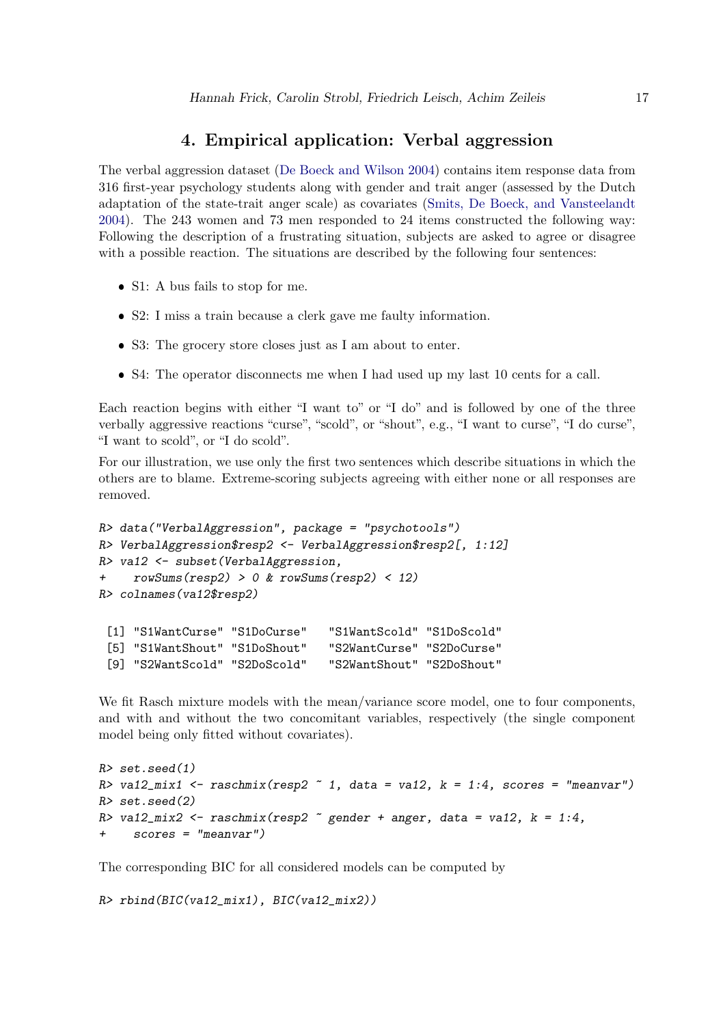# 4. Empirical application: Verbal aggression

<span id="page-16-0"></span>The verbal aggression dataset [\(De Boeck and Wilson 2004\)](#page-19-7) contains item response data from 316 first-year psychology students along with gender and trait anger (assessed by the Dutch adaptation of the state-trait anger scale) as covariates [\(Smits, De Boeck, and Vansteelandt](#page-20-14) [2004\)](#page-20-14). The 243 women and 73 men responded to 24 items constructed the following way: Following the description of a frustrating situation, subjects are asked to agree or disagree with a possible reaction. The situations are described by the following four sentences:

- S1: A bus fails to stop for me.
- ❼ S2: I miss a train because a clerk gave me faulty information.
- ❼ S3: The grocery store closes just as I am about to enter.
- ❼ S4: The operator disconnects me when I had used up my last 10 cents for a call.

Each reaction begins with either "I want to" or "I do" and is followed by one of the three verbally aggressive reactions "curse", "scold", or "shout", e.g., "I want to curse", "I do curse", "I want to scold", or "I do scold".

For our illustration, we use only the first two sentences which describe situations in which the others are to blame. Extreme-scoring subjects agreeing with either none or all responses are removed.

```
R> data("VerbalAggression", package = "psychotools")
R> VerbalAggression$resp2 <- VerbalAggression$resp2[, 1:12]
R> va12 <- subset(VerbalAggression,
+ rowSums(resp2) > 0 & rowSums(resp2) < 12)
R> colnames(va12$resp2)
 [1] "S1WantCurse" "S1DoCurse" "S1WantScold" "S1DoScold"
```

| Li Diwancourbe Diboourbe      | <u>DIWAHUDUOI 4</u>       | — ມ⊥ມ∨ບ∨ປ⊥ຟ |
|-------------------------------|---------------------------|-------------|
| [5] "S1WantShout" "S1DoShout" | "S2WantCurse" "S2DoCurse" |             |
| [9] "S2WantScold" "S2DoScold" | "S2WantShout" "S2DoShout" |             |

We fit Rasch mixture models with the mean/variance score model, one to four components, and with and without the two concomitant variables, respectively (the single component model being only fitted without covariates).

```
R> set.seed(1)
R> va12_mix1 <- raschmix(resp2 ~ 1, data = va12, k = 1:4, scores = "meanvar")
R> set.seed(2)
R> va12_mix2 <- raschmix(resp2 ~ gender + anger, data = va12, k = 1:4,
     + scores = "meanvar")
```
The corresponding BIC for all considered models can be computed by

```
R> rbind(BIC(va12_mix1), BIC(va12_mix2))
```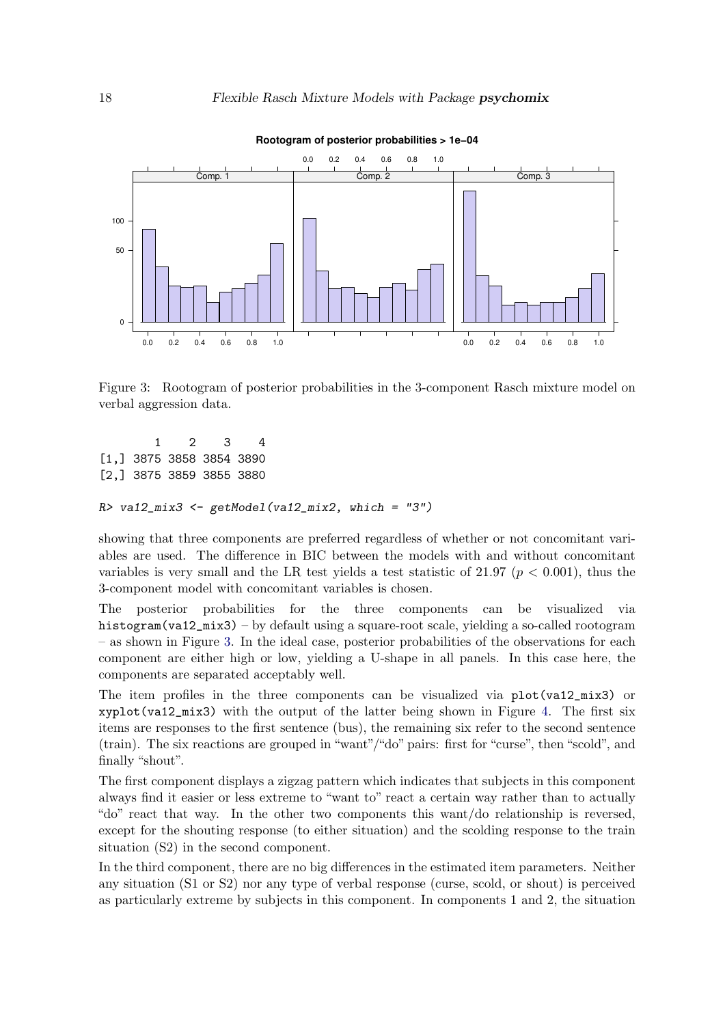

**Rootogram of posterior probabilities > 1e−04**

<span id="page-17-0"></span>Figure 3: Rootogram of posterior probabilities in the 3-component Rasch mixture model on verbal aggression data.

1 2 3 4 [1,] 3875 3858 3854 3890 [2,] 3875 3859 3855 3880

```
R> va12_mix3 <- getModel(va12_mix2, which = "3")
```
showing that three components are preferred regardless of whether or not concomitant variables are used. The difference in BIC between the models with and without concomitant variables is very small and the LR test yields a test statistic of  $21.97$  ( $p < 0.001$ ), thus the 3-component model with concomitant variables is chosen.

The posterior probabilities for the three components can be visualized via histogram(va12\_mix3) – by default using a square-root scale, yielding a so-called rootogram – as shown in Figure [3.](#page-17-0) In the ideal case, posterior probabilities of the observations for each component are either high or low, yielding a U-shape in all panels. In this case here, the components are separated acceptably well.

The item profiles in the three components can be visualized via plot(va12\_mix3) or xyplot(va12\_mix3) with the output of the latter being shown in Figure [4.](#page-18-1) The first six items are responses to the first sentence (bus), the remaining six refer to the second sentence (train). The six reactions are grouped in "want"/"do" pairs: first for "curse", then "scold", and finally "shout".

The first component displays a zigzag pattern which indicates that subjects in this component always find it easier or less extreme to "want to" react a certain way rather than to actually "do" react that way. In the other two components this want/do relationship is reversed, except for the shouting response (to either situation) and the scolding response to the train situation (S2) in the second component.

In the third component, there are no big differences in the estimated item parameters. Neither any situation (S1 or S2) nor any type of verbal response (curse, scold, or shout) is perceived as particularly extreme by subjects in this component. In components 1 and 2, the situation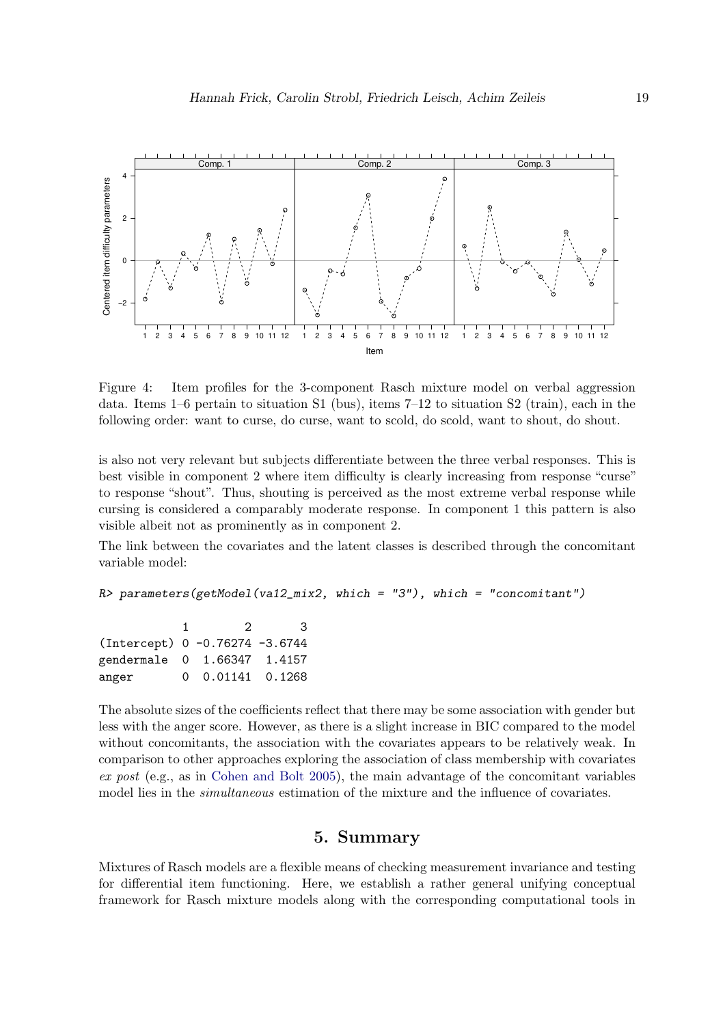

<span id="page-18-1"></span>Figure 4: Item profiles for the 3-component Rasch mixture model on verbal aggression data. Items 1–6 pertain to situation S1 (bus), items 7–12 to situation S2 (train), each in the following order: want to curse, do curse, want to scold, do scold, want to shout, do shout.

is also not very relevant but subjects differentiate between the three verbal responses. This is best visible in component 2 where item difficulty is clearly increasing from response "curse" to response "shout". Thus, shouting is perceived as the most extreme verbal response while cursing is considered a comparably moderate response. In component 1 this pattern is also visible albeit not as prominently as in component 2.

The link between the covariates and the latent classes is described through the concomitant variable model:

```
R> parameters(getModel(va12_mix2, which = "3"), which = "concomitant")
```

| 2 | З.                                                                                      |
|---|-----------------------------------------------------------------------------------------|
|   |                                                                                         |
|   |                                                                                         |
|   |                                                                                         |
|   | (Intercept) 0 -0.76274 -3.6744<br>gendermale 0 1.66347 1.4157<br>$0.01141$ 0.1268<br>0. |

The absolute sizes of the coefficients reflect that there may be some association with gender but less with the anger score. However, as there is a slight increase in BIC compared to the model without concomitants, the association with the covariates appears to be relatively weak. In comparison to other approaches exploring the association of class membership with covariates *ex post* (e.g., as in [Cohen and Bolt 2005\)](#page-19-3), the main advantage of the concomitant variables model lies in the *simultaneous* estimation of the mixture and the influence of covariates.

### 5. Summary

<span id="page-18-0"></span>Mixtures of Rasch models are a flexible means of checking measurement invariance and testing for differential item functioning. Here, we establish a rather general unifying conceptual framework for Rasch mixture models along with the corresponding computational tools in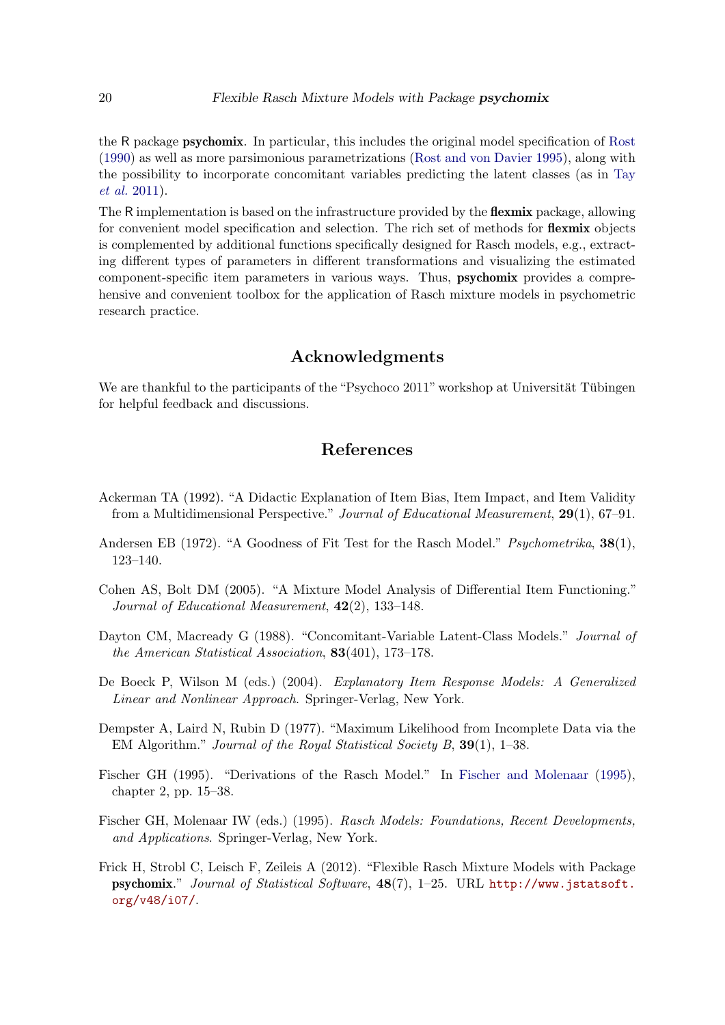the R package psychomix. In particular, this includes the original model specification of [Rost](#page-20-3) [\(1990\)](#page-20-3) as well as more parsimonious parametrizations [\(Rost and von Davier 1995\)](#page-20-13), along with the possibility to incorporate concomitant variables predicting the latent classes (as in [Tay](#page-20-4) *[et al.](#page-20-4)* [2011\)](#page-20-4).

The R implementation is based on the infrastructure provided by the flexmix package, allowing for convenient model specification and selection. The rich set of methods for **flexmix** objects is complemented by additional functions specifically designed for Rasch models, e.g., extracting different types of parameters in different transformations and visualizing the estimated component-specific item parameters in various ways. Thus, psychomix provides a comprehensive and convenient toolbox for the application of Rasch mixture models in psychometric research practice.

### Acknowledgments

We are thankful to the participants of the "Psychoco  $2011$ " workshop at Universität Tübingen for helpful feedback and discussions.

# References

- <span id="page-19-1"></span>Ackerman TA (1992). "A Didactic Explanation of Item Bias, Item Impact, and Item Validity from a Multidimensional Perspective." *Journal of Educational Measurement*, 29(1), 67–91.
- <span id="page-19-2"></span>Andersen EB (1972). "A Goodness of Fit Test for the Rasch Model." *Psychometrika*, 38(1), 123–140.
- <span id="page-19-3"></span>Cohen AS, Bolt DM (2005). "A Mixture Model Analysis of Differential Item Functioning." *Journal of Educational Measurement*, 42(2), 133–148.
- <span id="page-19-5"></span>Dayton CM, Macready G (1988). "Concomitant-Variable Latent-Class Models." *Journal of the American Statistical Association*, 83(401), 173–178.
- <span id="page-19-7"></span>De Boeck P, Wilson M (eds.) (2004). *Explanatory Item Response Models: A Generalized Linear and Nonlinear Approach*. Springer-Verlag, New York.
- <span id="page-19-6"></span>Dempster A, Laird N, Rubin D (1977). "Maximum Likelihood from Incomplete Data via the EM Algorithm." *Journal of the Royal Statistical Society B*, 39(1), 1–38.
- <span id="page-19-4"></span>Fischer GH (1995). "Derivations of the Rasch Model." In [Fischer and Molenaar](#page-19-8) [\(1995\)](#page-19-8), chapter 2, pp. 15–38.
- <span id="page-19-8"></span>Fischer GH, Molenaar IW (eds.) (1995). *Rasch Models: Foundations, Recent Developments, and Applications*. Springer-Verlag, New York.
- <span id="page-19-0"></span>Frick H, Strobl C, Leisch F, Zeileis A (2012). "Flexible Rasch Mixture Models with Package psychomix." *Journal of Statistical Software*, 48(7), 1–25. URL [http://www.jstatsoft.](http://www.jstatsoft.org/v48/i07/) [org/v48/i07/](http://www.jstatsoft.org/v48/i07/).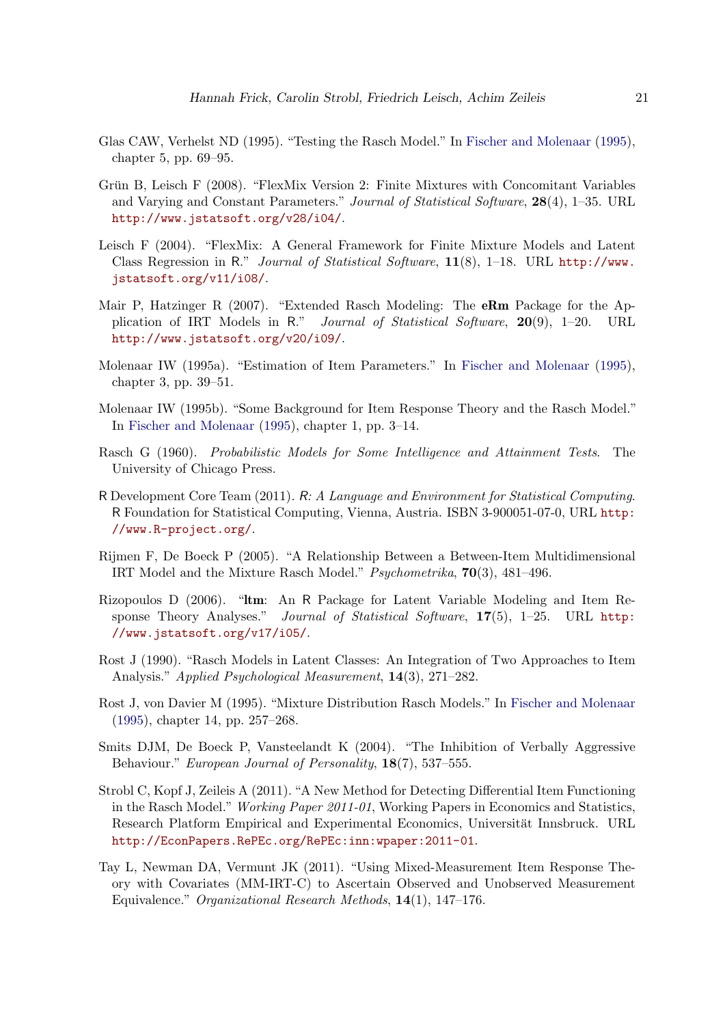- <span id="page-20-1"></span>Glas CAW, Verhelst ND (1995). "Testing the Rasch Model." In [Fischer and Molenaar](#page-19-8) [\(1995\)](#page-19-8), chapter 5, pp. 69–95.
- <span id="page-20-8"></span>Grün B, Leisch F (2008). "FlexMix Version 2: Finite Mixtures with Concomitant Variables and Varying and Constant Parameters." *Journal of Statistical Software*, 28(4), 1–35. URL <http://www.jstatsoft.org/v28/i04/>.
- <span id="page-20-7"></span>Leisch F (2004). "FlexMix: A General Framework for Finite Mixture Models and Latent Class Regression in R." *Journal of Statistical Software*, 11(8), 1–18. URL [http://www.](http://www.jstatsoft.org/v11/i08/) [jstatsoft.org/v11/i08/](http://www.jstatsoft.org/v11/i08/).
- <span id="page-20-10"></span>Mair P, Hatzinger R (2007). "Extended Rasch Modeling: The **eRm** Package for the Application of IRT Models in R." *Journal of Statistical Software*, 20(9), 1–20. URL <http://www.jstatsoft.org/v20/i09/>.
- <span id="page-20-12"></span>Molenaar IW (1995a). "Estimation of Item Parameters." In [Fischer and Molenaar](#page-19-8) [\(1995\)](#page-19-8), chapter 3, pp. 39–51.
- <span id="page-20-11"></span>Molenaar IW (1995b). "Some Background for Item Response Theory and the Rasch Model." In [Fischer and Molenaar](#page-19-8) [\(1995\)](#page-19-8), chapter 1, pp. 3–14.
- <span id="page-20-0"></span>Rasch G (1960). *Probabilistic Models for Some Intelligence and Attainment Tests*. The University of Chicago Press.
- <span id="page-20-6"></span>R Development Core Team (2011). R*: A Language and Environment for Statistical Computing*. R Foundation for Statistical Computing, Vienna, Austria. ISBN 3-900051-07-0, URL [http:](http://www.R-project.org/) [//www.R-project.org/](http://www.R-project.org/).
- <span id="page-20-5"></span>Rijmen F, De Boeck P (2005). "A Relationship Between a Between-Item Multidimensional IRT Model and the Mixture Rasch Model." *Psychometrika*, 70(3), 481–496.
- <span id="page-20-9"></span>Rizopoulos D (2006). "ltm: An R Package for Latent Variable Modeling and Item Response Theory Analyses." *Journal of Statistical Software*, 17(5), 1–25. URL [http:](http://www.jstatsoft.org/v17/i05/) [//www.jstatsoft.org/v17/i05/](http://www.jstatsoft.org/v17/i05/).
- <span id="page-20-3"></span>Rost J (1990). "Rasch Models in Latent Classes: An Integration of Two Approaches to Item Analysis." *Applied Psychological Measurement*, 14(3), 271–282.
- <span id="page-20-13"></span>Rost J, von Davier M (1995). "Mixture Distribution Rasch Models." In [Fischer and Molenaar](#page-19-8) [\(1995\)](#page-19-8), chapter 14, pp. 257–268.
- <span id="page-20-14"></span>Smits DJM, De Boeck P, Vansteelandt K (2004). "The Inhibition of Verbally Aggressive Behaviour." *European Journal of Personality*, 18(7), 537–555.
- <span id="page-20-2"></span>Strobl C, Kopf J, Zeileis A (2011). "A New Method for Detecting Differential Item Functioning in the Rasch Model." *Working Paper 2011-01*, Working Papers in Economics and Statistics, Research Platform Empirical and Experimental Economics, Universität Innsbruck. URL <http://EconPapers.RePEc.org/RePEc:inn:wpaper:2011-01>.
- <span id="page-20-4"></span>Tay L, Newman DA, Vermunt JK (2011). "Using Mixed-Measurement Item Response Theory with Covariates (MM-IRT-C) to Ascertain Observed and Unobserved Measurement Equivalence." *Organizational Research Methods*, 14(1), 147–176.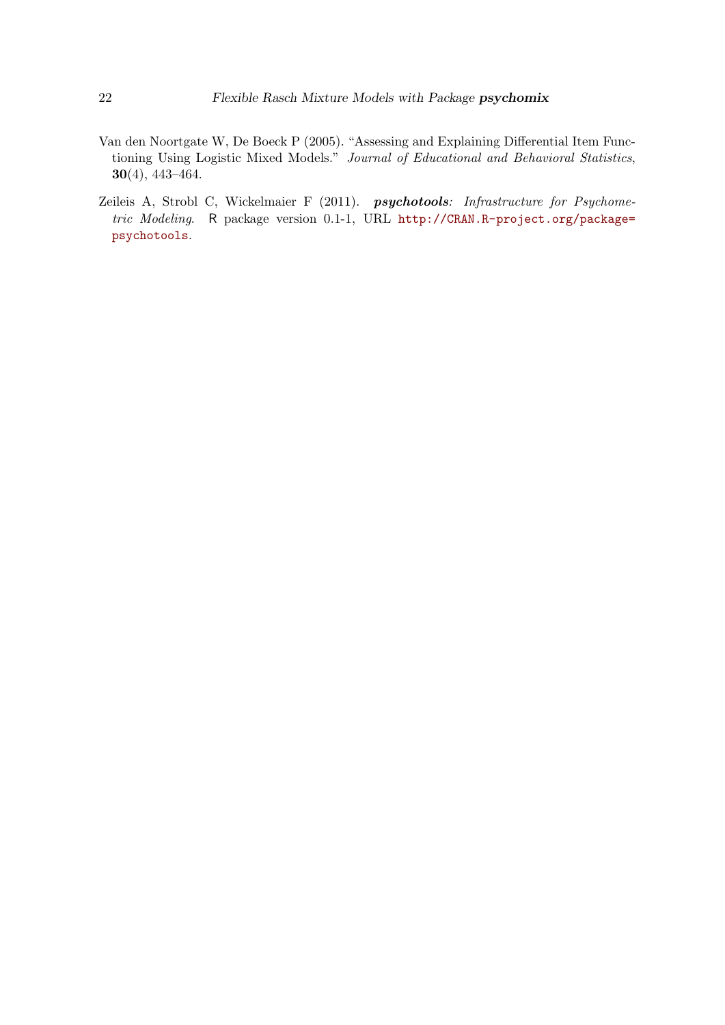- <span id="page-21-0"></span>Van den Noortgate W, De Boeck P (2005). "Assessing and Explaining Differential Item Functioning Using Logistic Mixed Models." *Journal of Educational and Behavioral Statistics*, 30(4), 443–464.
- <span id="page-21-1"></span>Zeileis A, Strobl C, Wickelmaier F (2011). psychotools*: Infrastructure for Psychometric Modeling*. R package version 0.1-1, URL [http://CRAN.R-project.org/package=](http://CRAN.R-project.org/package=psychotools) [psychotools](http://CRAN.R-project.org/package=psychotools).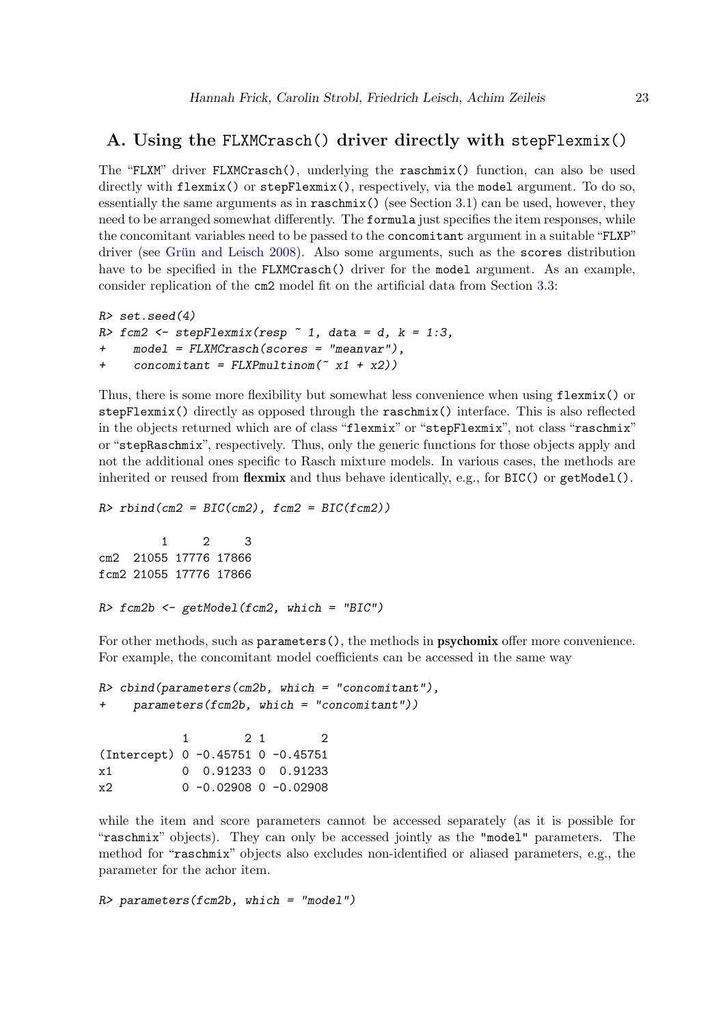### <span id="page-22-0"></span>A. Using the FLXMCrasch() driver directly with stepFlexmix()

The "FLXM" driver FLXMCrasch(), underlying the raschmix() function, can also be used directly with flexmix() or stepFlexmix(), respectively, via the model argument. To do so, essentially the same arguments as in raschmix() (see Section [3.1\)](#page-6-1) can be used, however, they need to be arranged somewhat differently. The formula just specifies the item responses, while the concomitant variables need to be passed to the concomitant argument in a suitable "FLXP" driver (see Grün and Leisch 2008). Also some arguments, such as the scores distribution have to be specified in the FLXMCrasch() driver for the model argument. As an example, consider replication of the cm2 model fit on the artificial data from Section [3.3:](#page-8-0)

```
R> set.seed(4)
R> fcm2 <- stepFlexmix(resp ~ 1, data = d, k = 1:3,
+ model = FLXMCrasch(scores = "meanvar"),
     + concomitant = FLXPmultinom(~ x1 + x2))
```
Thus, there is some more flexibility but somewhat less convenience when using flexmix() or stepFlexmix() directly as opposed through the raschmix() interface. This is also reflected in the objects returned which are of class "flexmix" or "stepFlexmix", not class "raschmix" or "stepRaschmix", respectively. Thus, only the generic functions for those objects apply and not the additional ones specific to Rasch mixture models. In various cases, the methods are inherited or reused from **flexmix** and thus behave identically, e.g., for  $BIC()$  or  $getModel()$ .

*R> rbind(cm2 = BIC(cm2), fcm2 = BIC(fcm2))*

1 2 3 cm2 21055 17776 17866 fcm2 21055 17776 17866

```
R> fcm2b <- getModel(fcm2, which = "BIC")
```
For other methods, such as parameters(), the methods in psychomix offer more convenience. For example, the concomitant model coefficients can be accessed in the same way

```
R> cbind(parameters(cm2b, which = "concomitant"),
+ parameters(fcm2b, which = "concomitant"))
          1 2 1 2
(Intercept) 0 -0.45751 0 -0.45751
x1 0 0.91233 0 0.91233
x2 0 -0.02908 0 -0.02908
```
while the item and score parameters cannot be accessed separately (as it is possible for "raschmix" objects). They can only be accessed jointly as the "model" parameters. The method for "raschmix" objects also excludes non-identified or aliased parameters, e.g., the parameter for the achor item.

*R> parameters(fcm2b, which = "model")*